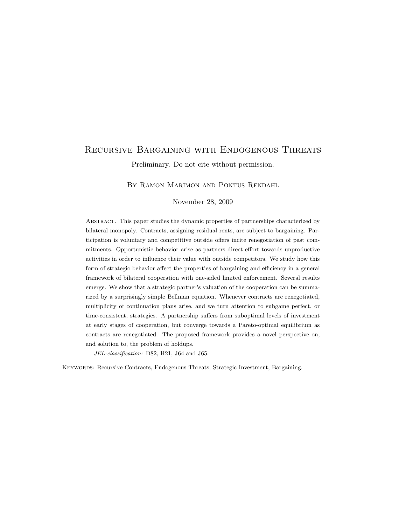# Recursive Bargaining with Endogenous Threats

Preliminary. Do not cite without permission.

BY RAMON MARIMON AND PONTUS RENDAHL

November 28, 2009

Abstract. This paper studies the dynamic properties of partnerships characterized by bilateral monopoly. Contracts, assigning residual rents, are subject to bargaining. Participation is voluntary and competitive outside offers incite renegotiation of past commitments. Opportunistic behavior arise as partners direct effort towards unproductive activities in order to influence their value with outside competitors. We study how this form of strategic behavior affect the properties of bargaining and efficiency in a general framework of bilateral cooperation with one-sided limited enforcement. Several results emerge. We show that a strategic partner's valuation of the cooperation can be summarized by a surprisingly simple Bellman equation. Whenever contracts are renegotiated, multiplicity of continuation plans arise, and we turn attention to subgame perfect, or time-consistent, strategies. A partnership suffers from suboptimal levels of investment at early stages of cooperation, but converge towards a Pareto-optimal equilibrium as contracts are renegotiated. The proposed framework provides a novel perspective on, and solution to, the problem of holdups.

JEL-classification: D82, H21, J64 and J65.

Keywords: Recursive Contracts, Endogenous Threats, Strategic Investment, Bargaining.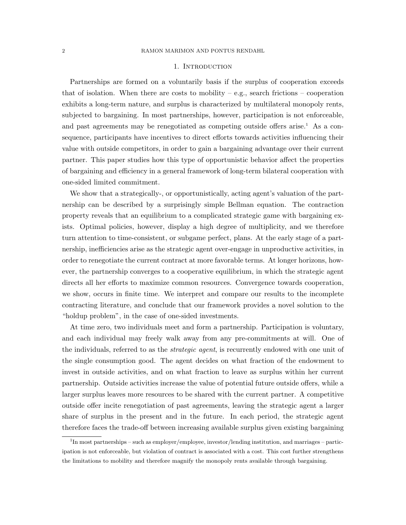#### 1. Introduction

Partnerships are formed on a voluntarily basis if the surplus of cooperation exceeds that of isolation. When there are costs to mobility  $-$  e.g., search frictions  $-$  cooperation exhibits a long-term nature, and surplus is characterized by multilateral monopoly rents, subjected to bargaining. In most partnerships, however, participation is not enforceable, and past agreements may be renegotiated as competing outside offers arise.<sup>1</sup> As a consequence, participants have incentives to direct efforts towards activities influencing their value with outside competitors, in order to gain a bargaining advantage over their current partner. This paper studies how this type of opportunistic behavior affect the properties of bargaining and efficiency in a general framework of long-term bilateral cooperation with one-sided limited commitment.

We show that a strategically-, or opportunistically, acting agent's valuation of the partnership can be described by a surprisingly simple Bellman equation. The contraction property reveals that an equilibrium to a complicated strategic game with bargaining exists. Optimal policies, however, display a high degree of multiplicity, and we therefore turn attention to time-consistent, or subgame perfect, plans. At the early stage of a partnership, inefficiencies arise as the strategic agent over-engage in unproductive activities, in order to renegotiate the current contract at more favorable terms. At longer horizons, however, the partnership converges to a cooperative equilibrium, in which the strategic agent directs all her efforts to maximize common resources. Convergence towards cooperation, we show, occurs in finite time. We interpret and compare our results to the incomplete contracting literature, and conclude that our framework provides a novel solution to the "holdup problem", in the case of one-sided investments.

At time zero, two individuals meet and form a partnership. Participation is voluntary, and each individual may freely walk away from any pre-commitments at will. One of the individuals, referred to as the *strategic agent*, is recurrently endowed with one unit of the single consumption good. The agent decides on what fraction of the endowment to invest in outside activities, and on what fraction to leave as surplus within her current partnership. Outside activities increase the value of potential future outside offers, while a larger surplus leaves more resources to be shared with the current partner. A competitive outside offer incite renegotiation of past agreements, leaving the strategic agent a larger share of surplus in the present and in the future. In each period, the strategic agent therefore faces the trade-off between increasing available surplus given existing bargaining

<sup>&</sup>lt;sup>1</sup>In most partnerships – such as employer/employee, investor/lending institution, and marriages – participation is not enforceable, but violation of contract is associated with a cost. This cost further strengthens the limitations to mobility and therefore magnify the monopoly rents available through bargaining.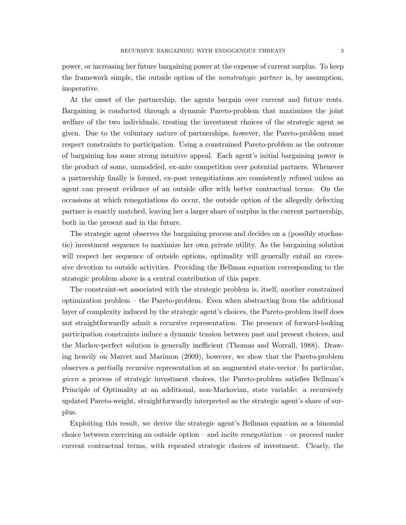power, or increasing her future bargaining power at the expense of current surplus. To keep the framework simple, the outside option of the *nonstrategic partner* is, by assumption, inoperative.

At the onset of the partnership, the agents bargain over current and future rents. Bargaining is conducted through a dynamic Pareto-problem that maximizes the joint welfare of the two individuals, treating the investment choices of the strategic agent as given. Due to the voluntary nature of partnerships, however, the Pareto-problem must respect constraints to participation. Using a constrained Pareto-problem as the outcome of bargaining has some strong intuitive appeal. Each agent's initial bargaining power is the product of some, unmodeled, ex-ante competition over potential partners. Whenever a partnership finally is formed, ex-post renegotiations are consistently refused unless an agent can present evidence of an outside offer with better contractual terms. On the occasions at which renegotiations do occur, the outside option of the allegedly defecting partner is exactly matched, leaving her a larger share of surplus in the current partnership, both in the present and in the future.

The strategic agent observes the bargaining process and decides on a (possibly stochastic) investment sequence to maximize her own private utility. As the bargaining solution will respect her sequence of outside options, optimality will generally entail an excessive devotion to outside activities. Providing the Bellman equation corresponding to the strategic problem above is a central contribution of this paper.

The constraint-set associated with the strategic problem is, itself, another constrained optimization problem – the Pareto-problem. Even when abstracting from the additional layer of complexity induced by the strategic agent's choices, the Pareto-problem itself does not straightforwardly admit a recursive representation. The presence of forward-looking participation constraints induce a dynamic tension between past and present choices, and the Markov-perfect solution is generally inefficient (Thomas and Worrall, 1988). Drawing heavily on Marcet and Marimon (2009), however, we show that the Pareto-problem observes a partially recursive representation at an augmented state-vector. In particular, given a process of strategic investment choices, the Pareto-problem satisfies Bellman's Principle of Optimality at an additional, non-Markovian, state variable: a recursively updated Pareto-weight, straightforwardly interpreted as the strategic agent's share of surplus.

Exploiting this result, we derive the strategic agent's Bellman equation as a binomial choice between exercising an outside option – and incite renegotiation – or proceed under current contractual terms, with repeated strategic choices of investment. Clearly, the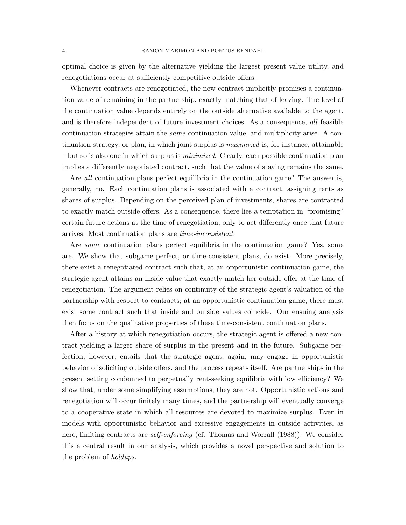optimal choice is given by the alternative yielding the largest present value utility, and renegotiations occur at sufficiently competitive outside offers.

Whenever contracts are renegotiated, the new contract implicitly promises a continuation value of remaining in the partnership, exactly matching that of leaving. The level of the continuation value depends entirely on the outside alternative available to the agent, and is therefore independent of future investment choices. As a consequence, all feasible continuation strategies attain the same continuation value, and multiplicity arise. A continuation strategy, or plan, in which joint surplus is maximized is, for instance, attainable – but so is also one in which surplus is minimized. Clearly, each possible continuation plan implies a differently negotiated contract, such that the value of staying remains the same.

Are all continuation plans perfect equilibria in the continuation game? The answer is, generally, no. Each continuation plans is associated with a contract, assigning rents as shares of surplus. Depending on the perceived plan of investments, shares are contracted to exactly match outside offers. As a consequence, there lies a temptation in "promising" certain future actions at the time of renegotiation, only to act differently once that future arrives. Most continuation plans are time-inconsistent.

Are some continuation plans perfect equilibria in the continuation game? Yes, some are. We show that subgame perfect, or time-consistent plans, do exist. More precisely, there exist a renegotiated contract such that, at an opportunistic continuation game, the strategic agent attains an inside value that exactly match her outside offer at the time of renegotiation. The argument relies on continuity of the strategic agent's valuation of the partnership with respect to contracts; at an opportunistic continuation game, there must exist some contract such that inside and outside values coincide. Our ensuing analysis then focus on the qualitative properties of these time-consistent continuation plans.

After a history at which renegotiation occurs, the strategic agent is offered a new contract yielding a larger share of surplus in the present and in the future. Subgame perfection, however, entails that the strategic agent, again, may engage in opportunistic behavior of soliciting outside offers, and the process repeats itself. Are partnerships in the present setting condemned to perpetually rent-seeking equilibria with low efficiency? We show that, under some simplifying assumptions, they are not. Opportunistic actions and renegotiation will occur finitely many times, and the partnership will eventually converge to a cooperative state in which all resources are devoted to maximize surplus. Even in models with opportunistic behavior and excessive engagements in outside activities, as here, limiting contracts are *self-enforcing* (cf. Thomas and Worrall (1988)). We consider this a central result in our analysis, which provides a novel perspective and solution to the problem of *holdups*.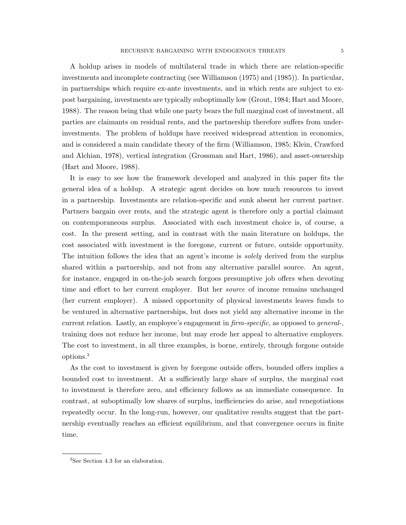A holdup arises in models of multilateral trade in which there are relation-specific investments and incomplete contracting (see Williamson (1975) and (1985)). In particular, in partnerships which require ex-ante investments, and in which rents are subject to expost bargaining, investments are typically suboptimally low (Grout, 1984; Hart and Moore, 1988). The reason being that while one party bears the full marginal cost of investment, all parties are claimants on residual rents, and the partnership therefore suffers from underinvestments. The problem of holdups have received widespread attention in economics, and is considered a main candidate theory of the firm (Williamson, 1985; Klein, Crawford and Alchian, 1978), vertical integration (Grossman and Hart, 1986), and asset-ownership (Hart and Moore, 1988).

It is easy to see how the framework developed and analyzed in this paper fits the general idea of a holdup. A strategic agent decides on how much resources to invest in a partnership. Investments are relation-specific and sunk absent her current partner. Partners bargain over rents, and the strategic agent is therefore only a partial claimant on contemporaneous surplus. Associated with each investment choice is, of course, a cost. In the present setting, and in contrast with the main literature on holdups, the cost associated with investment is the foregone, current or future, outside opportunity. The intuition follows the idea that an agent's income is *solely* derived from the surplus shared within a partnership, and not from any alternative parallel source. An agent, for instance, engaged in on-the-job search forgoes presumptive job offers when devoting time and effort to her current employer. But her *source* of income remains unchanged (her current employer). A missed opportunity of physical investments leaves funds to be ventured in alternative partnerships, but does not yield any alternative income in the current relation. Lastly, an employee's engagement in *firm-specific*, as opposed to *general*-, training does not reduce her income, but may erode her appeal to alternative employers. The cost to investment, in all three examples, is borne, entirely, through forgone outside options.<sup>2</sup>

As the cost to investment is given by foregone outside offers, bounded offers implies a bounded cost to investment. At a sufficiently large share of surplus, the marginal cost to investment is therefore zero, and efficiency follows as an immediate consequence. In contrast, at suboptimally low shares of surplus, inefficiencies do arise, and renegotiations repeatedly occur. In the long-run, however, our qualitative results suggest that the partnership eventually reaches an efficient equilibrium, and that convergence occurs in finite time.

<sup>&</sup>lt;sup>2</sup>See Section 4.3 for an elaboration.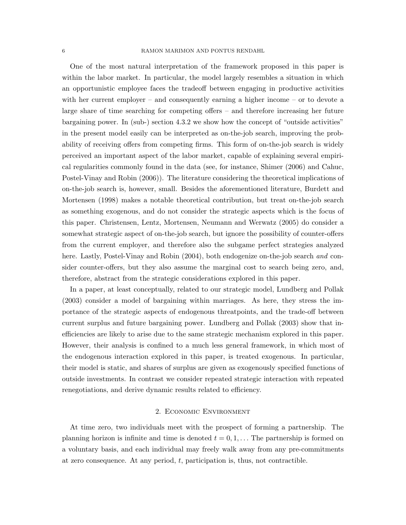One of the most natural interpretation of the framework proposed in this paper is within the labor market. In particular, the model largely resembles a situation in which an opportunistic employee faces the tradeoff between engaging in productive activities with her current employer – and consequently earning a higher income – or to devote a large share of time searching for competing offers – and therefore increasing her future bargaining power. In (sub-) section 4.3.2 we show how the concept of "outside activities" in the present model easily can be interpreted as on-the-job search, improving the probability of receiving offers from competing firms. This form of on-the-job search is widely perceived an important aspect of the labor market, capable of explaining several empirical regularities commonly found in the data (see, for instance, Shimer (2006) and Cahuc, Postel-Vinay and Robin (2006)). The literature considering the theoretical implications of on-the-job search is, however, small. Besides the aforementioned literature, Burdett and Mortensen (1998) makes a notable theoretical contribution, but treat on-the-job search as something exogenous, and do not consider the strategic aspects which is the focus of this paper. Christensen, Lentz, Mortensen, Neumann and Werwatz (2005) do consider a somewhat strategic aspect of on-the-job search, but ignore the possibility of counter-offers from the current employer, and therefore also the subgame perfect strategies analyzed here. Lastly, Postel-Vinay and Robin (2004), both endogenize on-the-job search and consider counter-offers, but they also assume the marginal cost to search being zero, and, therefore, abstract from the strategic considerations explored in this paper.

In a paper, at least conceptually, related to our strategic model, Lundberg and Pollak (2003) consider a model of bargaining within marriages. As here, they stress the importance of the strategic aspects of endogenous threatpoints, and the trade-off between current surplus and future bargaining power. Lundberg and Pollak (2003) show that inefficiencies are likely to arise due to the same strategic mechanism explored in this paper. However, their analysis is confined to a much less general framework, in which most of the endogenous interaction explored in this paper, is treated exogenous. In particular, their model is static, and shares of surplus are given as exogenously specified functions of outside investments. In contrast we consider repeated strategic interaction with repeated renegotiations, and derive dynamic results related to efficiency.

### 2. Economic Environment

At time zero, two individuals meet with the prospect of forming a partnership. The planning horizon is infinite and time is denoted  $t = 0, 1, \ldots$  The partnership is formed on a voluntary basis, and each individual may freely walk away from any pre-commitments at zero consequence. At any period,  $t$ , participation is, thus, not contractible.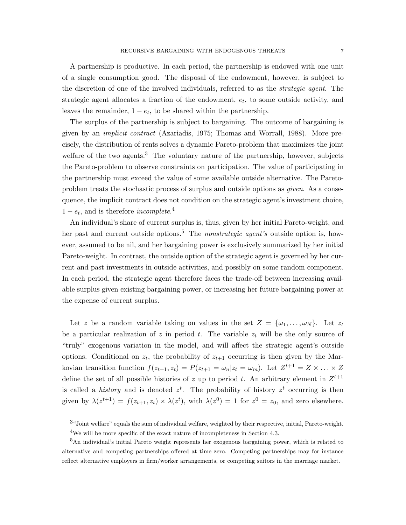The surplus of the partnership is subject to bargaining. The outcome of bargaining is given by an implicit contract (Azariadis, 1975; Thomas and Worrall, 1988). More precisely, the distribution of rents solves a dynamic Pareto-problem that maximizes the joint welfare of the two agents.<sup>3</sup> The voluntary nature of the partnership, however, subjects the Pareto-problem to observe constraints on participation. The value of participating in the partnership must exceed the value of some available outside alternative. The Paretoproblem treats the stochastic process of surplus and outside options as *given*. As a consequence, the implicit contract does not condition on the strategic agent's investment choice,  $1 - e_t$ , and is therefore *incomplete*.<sup>4</sup>

leaves the remainder,  $1 - e_t$ , to be shared within the partnership.

An individual's share of current surplus is, thus, given by her initial Pareto-weight, and her past and current outside options.<sup>5</sup> The *nonstrategic agent's* outside option is, however, assumed to be nil, and her bargaining power is exclusively summarized by her initial Pareto-weight. In contrast, the outside option of the strategic agent is governed by her current and past investments in outside activities, and possibly on some random component. In each period, the strategic agent therefore faces the trade-off between increasing available surplus given existing bargaining power, or increasing her future bargaining power at the expense of current surplus.

Let z be a random variable taking on values in the set  $Z = {\omega_1, \ldots, \omega_N}$ . Let  $z_t$ be a particular realization of z in period t. The variable  $z_t$  will be the only source of "truly" exogenous variation in the model, and will affect the strategic agent's outside options. Conditional on  $z_t$ , the probability of  $z_{t+1}$  occurring is then given by the Markovian transition function  $f(z_{t+1}, z_t) = P(z_{t+1} = \omega_n | z_t = \omega_m)$ . Let  $Z^{t+1} = Z \times \ldots \times Z$ define the set of all possible histories of z up to period t. An arbitrary element in  $Z^{t+1}$ is called a *history* and is denoted  $z<sup>t</sup>$ . The probability of history  $z<sup>t</sup>$  occurring is then given by  $\lambda(z^{t+1}) = f(z_{t+1}, z_t) \times \lambda(z^t)$ , with  $\lambda(z^0) = 1$  for  $z^0 = z_0$ , and zero elsewhere.

<sup>&</sup>lt;sup>3</sup>"Joint welfare" equals the sum of individual welfare, weighted by their respective, initial, Pareto-weight. <sup>4</sup>We will be more specific of the exact nature of incompleteness in Section 4.3.

<sup>&</sup>lt;sup>5</sup>An individual's initial Pareto weight represents her exogenous bargaining power, which is related to alternative and competing partnerships offered at time zero. Competing partnerships may for instance reflect alternative employers in firm/worker arrangements, or competing suitors in the marriage market.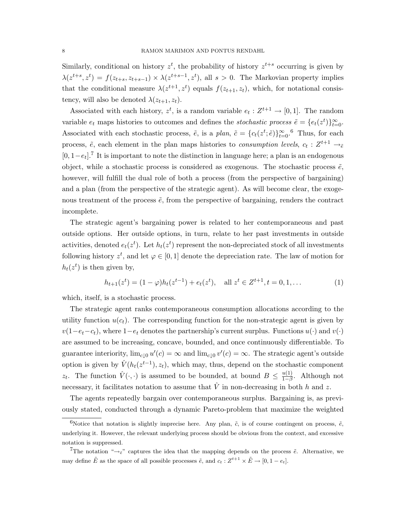Similarly, conditional on history  $z^t$ , the probability of history  $z^{t+s}$  occurring is given by  $\lambda(z^{t+s}, z^t) = f(z_{t+s}, z_{t+s-1}) \times \lambda(z^{t+s-1}, z^t)$ , all  $s > 0$ . The Markovian property implies that the conditional measure  $\lambda(z^{t+1}, z^t)$  equals  $f(z_{t+1}, z_t)$ , which, for notational consistency, will also be denoted  $\lambda(z_{t+1}, z_t)$ .

Associated with each history,  $z^t$ , is a random variable  $e_t: Z^{t+1} \to [0, 1]$ . The random variable  $e_t$  maps histories to outcomes and defines the *stochastic process*  $\tilde{e} = \{e_t(z^t)\}_{t=0}^{\infty}$ . Associated with each stochastic process,  $\tilde{e}$ , is a plan,  $\tilde{c} = \{c_t(z^t; \tilde{e})\}_{t=0}^{\infty}$ . Thus, for each process,  $\tilde{e}$ , each element in the plan maps histories to *consumption levels*,  $c_t: Z^{t+1} \rightarrow_{\tilde{e}}$  $[0, 1-e_t]$ <sup>7</sup> It is important to note the distinction in language here; a plan is an endogenous object, while a stochastic process is considered as exogenous. The stochastic process  $\tilde{e}$ , however, will fulfill the dual role of both a process (from the perspective of bargaining) and a plan (from the perspective of the strategic agent). As will become clear, the exogenous treatment of the process  $\tilde{e}$ , from the perspective of bargaining, renders the contract incomplete.

The strategic agent's bargaining power is related to her contemporaneous and past outside options. Her outside options, in turn, relate to her past investments in outside activities, denoted  $e_t(z^t)$ . Let  $h_t(z^t)$  represent the non-depreciated stock of all investments following history  $z^t$ , and let  $\varphi \in [0,1]$  denote the depreciation rate. The law of motion for  $h_t(z^t)$  is then given by,

$$
h_{t+1}(z^t) = (1 - \varphi)h_t(z^{t-1}) + e_t(z^t), \quad \text{all } z^t \in Z^{t+1}, t = 0, 1, \dots
$$
 (1)

which, itself, is a stochastic process.

The strategic agent ranks contemporaneous consumption allocations according to the utility function  $u(c_t)$ . The corresponding function for the non-strategic agent is given by  $v(1-e_t-c_t)$ , where  $1-e_t$  denotes the partnership's current surplus. Functions  $u(\cdot)$  and  $v(\cdot)$ are assumed to be increasing, concave, bounded, and once continuously differentiable. To guarantee interiority,  $\lim_{c\downarrow 0} u'(c) = \infty$  and  $\lim_{c\downarrow 0} v'(c) = \infty$ . The strategic agent's outside option is given by  $\hat{V}(h_t(z^{t-1}), z_t)$ , which may, thus, depend on the stochastic component  $z_t$ . The function  $\hat{V}(\cdot,\cdot)$  is assumed to be bounded, at bound  $B \leq \frac{u(1)}{1-\beta}$  $\frac{u(1)}{1-\beta}$ . Although not necessary, it facilitates notation to assume that  $\hat{V}$  in non-decreasing in both h and z.

The agents repeatedly bargain over contemporaneous surplus. Bargaining is, as previously stated, conducted through a dynamic Pareto-problem that maximize the weighted

<sup>&</sup>lt;sup>6</sup>Notice that notation is slightly imprecise here. Any plan,  $\tilde{c}$ , is of course contingent on process,  $\tilde{e}$ , underlying it. However, the relevant underlying process should be obvious from the context, and excessive notation is suppressed.

<sup>&</sup>lt;sup>7</sup>The notation " $\rightarrow \varepsilon$ " captures the idea that the mapping depends on the process  $\tilde{e}$ . Alternative, we may define  $\tilde{E}$  as the space of all possible processes  $\tilde{e}$ , and  $c_t : Z^{t+1} \times \tilde{E} \to [0, 1 - e_t]$ .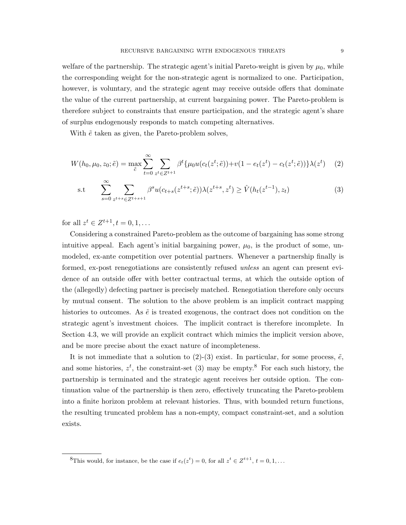welfare of the partnership. The strategic agent's initial Pareto-weight is given by  $\mu_0$ , while the corresponding weight for the non-strategic agent is normalized to one. Participation, however, is voluntary, and the strategic agent may receive outside offers that dominate the value of the current partnership, at current bargaining power. The Pareto-problem is therefore subject to constraints that ensure participation, and the strategic agent's share of surplus endogenously responds to match competing alternatives.

With  $\tilde{e}$  taken as given, the Pareto-problem solves,

$$
W(h_0, \mu_0, z_0; \tilde{e}) = \max_{\tilde{e}} \sum_{t=0}^{\infty} \sum_{z^t \in Z^{t+1}} \beta^t \{ \mu_0 u(c_t(z^t; \tilde{e})) + v(1 - e_t(z^t) - c_t(z^t; \tilde{e})) \} \lambda(z^t) \tag{2}
$$

s.t 
$$
\sum_{s=0}^{\infty} \sum_{z^{t+s} \in Z^{t+s+1}} \beta^s u(c_{t+s}(z^{t+s}; \tilde{e})) \lambda(z^{t+s}, z^t) \ge \hat{V}(h_t(z^{t-1}), z_t)
$$
(3)

for all  $z^t \in Z^{t+1}, t = 0, 1, ...$ 

Considering a constrained Pareto-problem as the outcome of bargaining has some strong intuitive appeal. Each agent's initial bargaining power,  $\mu_0$ , is the product of some, unmodeled, ex-ante competition over potential partners. Whenever a partnership finally is formed, ex-post renegotiations are consistently refused *unless* an agent can present evidence of an outside offer with better contractual terms, at which the outside option of the (allegedly) defecting partner is precisely matched. Renegotiation therefore only occurs by mutual consent. The solution to the above problem is an implicit contract mapping histories to outcomes. As  $\tilde{e}$  is treated exogenous, the contract does not condition on the strategic agent's investment choices. The implicit contract is therefore incomplete. In Section 4.3, we will provide an explicit contract which mimics the implicit version above, and be more precise about the exact nature of incompleteness.

It is not immediate that a solution to (2)-(3) exist. In particular, for some process,  $\tilde{e}$ , and some histories,  $z^t$ , the constraint-set (3) may be empty.<sup>8</sup> For each such history, the partnership is terminated and the strategic agent receives her outside option. The continuation value of the partnership is then zero, effectively truncating the Pareto-problem into a finite horizon problem at relevant histories. Thus, with bounded return functions, the resulting truncated problem has a non-empty, compact constraint-set, and a solution exists.

<sup>&</sup>lt;sup>8</sup>This would, for instance, be the case if  $e_t(z^t) = 0$ , for all  $z^t \in Z^{t+1}$ ,  $t = 0, 1, \ldots$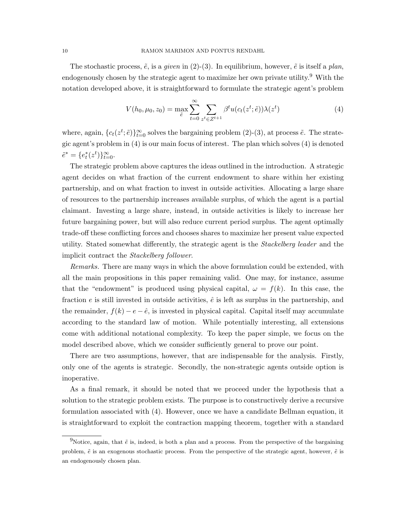The stochastic process,  $\tilde{e}$ , is a *given* in (2)-(3). In equilibrium, however,  $\tilde{e}$  is itself a *plan*, endogenously chosen by the strategic agent to maximize her own private utility.<sup>9</sup> With the notation developed above, it is straightforward to formulate the strategic agent's problem

$$
V(h_0, \mu_0, z_0) = \max_{\tilde{e}} \sum_{t=0}^{\infty} \sum_{z^t \in Z^{t+1}} \beta^t u(c_t(z^t; \tilde{e})) \lambda(z^t)
$$
(4)

where, again,  ${c_t(z^t; \tilde{e})}_{t=0}^{\infty}$  solves the bargaining problem (2)-(3), at process  $\tilde{e}$ . The strategic agent's problem in (4) is our main focus of interest. The plan which solves (4) is denoted  $\tilde{e}^* = \{e_t^*(z^t)\}_{t=0}^{\infty}.$ 

The strategic problem above captures the ideas outlined in the introduction. A strategic agent decides on what fraction of the current endowment to share within her existing partnership, and on what fraction to invest in outside activities. Allocating a large share of resources to the partnership increases available surplus, of which the agent is a partial claimant. Investing a large share, instead, in outside activities is likely to increase her future bargaining power, but will also reduce current period surplus. The agent optimally trade-off these conflicting forces and chooses shares to maximize her present value expected utility. Stated somewhat differently, the strategic agent is the Stackelberg leader and the implicit contract the Stackelberg follower.

Remarks. There are many ways in which the above formulation could be extended, with all the main propositions in this paper remaining valid. One may, for instance, assume that the "endowment" is produced using physical capital,  $\omega = f(k)$ . In this case, the fraction e is still invested in outside activities,  $\hat{e}$  is left as surplus in the partnership, and the remainder,  $f(k) - e - \hat{e}$ , is invested in physical capital. Capital itself may accumulate according to the standard law of motion. While potentially interesting, all extensions come with additional notational complexity. To keep the paper simple, we focus on the model described above, which we consider sufficiently general to prove our point.

There are two assumptions, however, that are indispensable for the analysis. Firstly, only one of the agents is strategic. Secondly, the non-strategic agents outside option is inoperative.

As a final remark, it should be noted that we proceed under the hypothesis that a solution to the strategic problem exists. The purpose is to constructively derive a recursive formulation associated with (4). However, once we have a candidate Bellman equation, it is straightforward to exploit the contraction mapping theorem, together with a standard

<sup>&</sup>lt;sup>9</sup>Notice, again, that  $\tilde{e}$  is, indeed, is both a plan and a process. From the perspective of the bargaining problem,  $\tilde{e}$  is an exogenous stochastic process. From the perspective of the strategic agent, however,  $\tilde{e}$  is an endogenously chosen plan.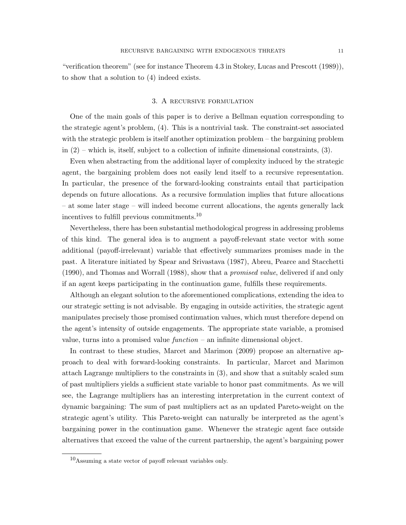"verification theorem" (see for instance Theorem 4.3 in Stokey, Lucas and Prescott (1989)), to show that a solution to (4) indeed exists.

#### 3. A recursive formulation

One of the main goals of this paper is to derive a Bellman equation corresponding to the strategic agent's problem, (4). This is a nontrivial task. The constraint-set associated with the strategic problem is itself another optimization problem – the bargaining problem in  $(2)$  – which is, itself, subject to a collection of infinite dimensional constraints,  $(3)$ .

Even when abstracting from the additional layer of complexity induced by the strategic agent, the bargaining problem does not easily lend itself to a recursive representation. In particular, the presence of the forward-looking constraints entail that participation depends on future allocations. As a recursive formulation implies that future allocations – at some later stage – will indeed become current allocations, the agents generally lack incentives to fulfill previous commitments.<sup>10</sup>

Nevertheless, there has been substantial methodological progress in addressing problems of this kind. The general idea is to augment a payoff-relevant state vector with some additional (payoff-irrelevant) variable that effectively summarizes promises made in the past. A literature initiated by Spear and Srivastava (1987), Abreu, Pearce and Stacchetti (1990), and Thomas and Worrall (1988), show that a promised value, delivered if and only if an agent keeps participating in the continuation game, fulfills these requirements.

Although an elegant solution to the aforementioned complications, extending the idea to our strategic setting is not advisable. By engaging in outside activities, the strategic agent manipulates precisely those promised continuation values, which must therefore depend on the agent's intensity of outside engagements. The appropriate state variable, a promised value, turns into a promised value  $function - an infinite dimensional object.$ 

In contrast to these studies, Marcet and Marimon (2009) propose an alternative approach to deal with forward-looking constraints. In particular, Marcet and Marimon attach Lagrange multipliers to the constraints in (3), and show that a suitably scaled sum of past multipliers yields a sufficient state variable to honor past commitments. As we will see, the Lagrange multipliers has an interesting interpretation in the current context of dynamic bargaining: The sum of past multipliers act as an updated Pareto-weight on the strategic agent's utility. This Pareto-weight can naturally be interpreted as the agent's bargaining power in the continuation game. Whenever the strategic agent face outside alternatives that exceed the value of the current partnership, the agent's bargaining power

 $10$ Assuming a state vector of payoff relevant variables only.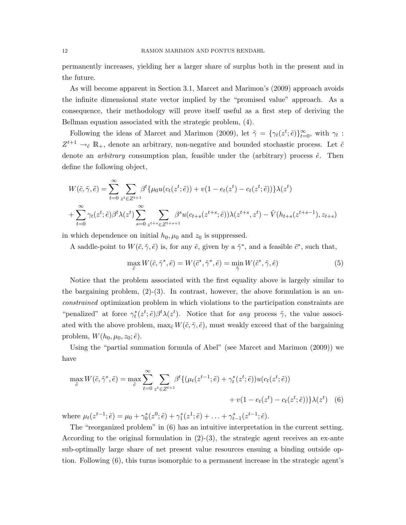permanently increases, yielding her a larger share of surplus both in the present and in the future.

As will become apparent in Section 3.1, Marcet and Marimon's (2009) approach avoids the infinite dimensional state vector implied by the "promised value" approach. As a consequence, their methodology will prove itself useful as a first step of deriving the Bellman equation associated with the strategic problem, (4).

Following the ideas of Marcet and Marimon (2009), let  $\tilde{\gamma} = \{\gamma_t(z^t; \tilde{e})\}_{t=0}^{\infty}$ , with  $\gamma_t$ :  $Z^{t+1} \to_{\tilde{e}} \mathbb{R}_+$ , denote an arbitrary, non-negative and bounded stochastic process. Let  $\tilde{c}$ denote an *arbitrary* consumption plan, feasible under the (arbitrary) process  $\tilde{e}$ . Then define the following object,

$$
W(\tilde{c}, \tilde{\gamma}, \tilde{e}) = \sum_{t=0}^{\infty} \sum_{z^t \in Z^{t+1}} \beta^t \{ \mu_0 u(c_t(z^t; \tilde{e})) + v(1 - e_t(z^t) - c_t(z^t; \tilde{e})) \} \lambda(z^t)
$$
  
+ 
$$
\sum_{t=0}^{\infty} \gamma_t(z^t; \tilde{e}) \beta^t \lambda(z^t) \sum_{s=0}^{\infty} \sum_{z^{t+s} \in Z^{t+s+1}} \beta^s u(c_{t+s}(z^{t+s}; \tilde{e})) \lambda(z^{t+s}, z^t) - \hat{V}(h_{t+s}(z^{t+s-1}), z_{t+s})
$$

in which dependence on initial  $h_0, \mu_0$  and  $z_0$  is suppressed.

A saddle-point to  $W(\tilde{c}, \tilde{\gamma}, \tilde{e})$  is, for any  $\tilde{e}$ , given by a  $\tilde{\gamma}^*$ , and a feasible  $\tilde{c}^*$ , such that,

$$
\max_{\tilde{c}} W(\tilde{c}, \tilde{\gamma}^*, \tilde{e}) = W(\tilde{c}^*, \tilde{\gamma}^*, \tilde{e}) = \min_{\tilde{\gamma}} W(\tilde{c}^*, \tilde{\gamma}, \tilde{e})
$$
\n(5)

Notice that the problem associated with the first equality above is largely similar to the bargaining problem,  $(2)-(3)$ . In contrast, however, the above formulation is an unconstrained optimization problem in which violations to the participation constraints are "penalized" at force  $\gamma_t^*(z^t;\tilde{e})\beta^t\lambda(z^t)$ . Notice that for any process  $\tilde{\gamma}$ , the value associated with the above problem,  $\max_{\tilde{c}} W(\tilde{c}, \tilde{\gamma}, \tilde{e})$ , must weakly exceed that of the bargaining problem,  $W(h_0, \mu_0, z_0; \tilde{e})$ .

Using the "partial summation formula of Abel" (see Marcet and Marimon (2009)) we have

$$
\max_{\tilde{c}} W(\tilde{c}, \tilde{\gamma}^*, \tilde{e}) = \max_{\tilde{c}} \sum_{t=0}^{\infty} \sum_{z^t \in Z^{t+1}} \beta^t \{ (\mu_t(z^{t-1}; \tilde{e}) + \gamma_t^*(z^t; \tilde{e})) u(c_t(z^t; \tilde{e})) + v(1 - e_t(z^t) - c_t(z^t; \tilde{e})) \} \lambda(z^t) \tag{6}
$$

where  $\mu_t(z^{t-1}; \tilde{e}) = \mu_0 + \gamma_0^*(z^0; \tilde{e}) + \gamma_1^*(z^1; \tilde{e}) + \ldots + \gamma_{t-1}^*(z^{t-1}; \tilde{e}).$ 

The "reorganized problem" in (6) has an intuitive interpretation in the current setting. According to the original formulation in  $(2)-(3)$ , the strategic agent receives an ex-ante sub-optimally large share of net present value resources ensuing a binding outside option. Following (6), this turns isomorphic to a permanent increase in the strategic agent's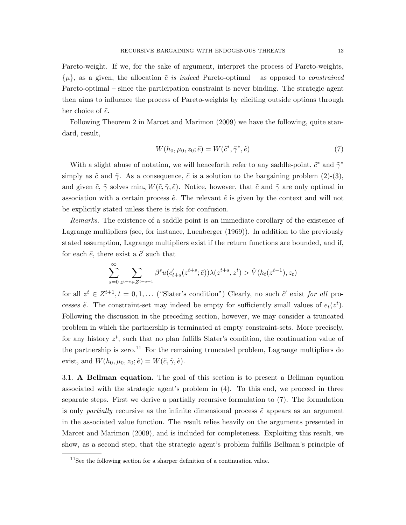Pareto-weight. If we, for the sake of argument, interpret the process of Pareto-weights,  $\{\mu\}$ , as a given, the allocation  $\tilde{c}$  is indeed Pareto-optimal – as opposed to *constrained* Pareto-optimal – since the participation constraint is never binding. The strategic agent then aims to influence the process of Pareto-weights by eliciting outside options through her choice of  $\tilde{e}$ .

Following Theorem 2 in Marcet and Marimon (2009) we have the following, quite standard, result,

$$
W(h_0, \mu_0, z_0; \tilde{e}) = W(\tilde{c}^*, \tilde{\gamma}^*, \tilde{e})
$$
\n<sup>(7)</sup>

With a slight abuse of notation, we will henceforth refer to any saddle-point,  $\tilde{c}^*$  and  $\tilde{\gamma}^*$ simply as  $\tilde{c}$  and  $\tilde{\gamma}$ . As a consequence,  $\tilde{c}$  is a solution to the bargaining problem (2)-(3), and given  $\tilde{c}$ ,  $\tilde{\gamma}$  solves min<sub> $\tilde{\gamma}$ </sub> W( $\tilde{c}$ ,  $\tilde{\gamma}$ ,  $\tilde{e}$ ). Notice, however, that  $\tilde{c}$  and  $\tilde{\gamma}$  are only optimal in association with a certain process  $\tilde{e}$ . The relevant  $\tilde{e}$  is given by the context and will not be explicitly stated unless there is risk for confusion.

Remarks. The existence of a saddle point is an immediate corollary of the existence of Lagrange multipliers (see, for instance, Luenberger (1969)). In addition to the previously stated assumption, Lagrange multipliers exist if the return functions are bounded, and if, for each  $\tilde{e}$ , there exist a  $\tilde{c}'$  such that

$$
\sum_{s=0}^{\infty} \sum_{z^{t+s} \in Z^{t+s+1}} \beta^s u(c'_{t+s}(z^{t+s}; \tilde{e})) \lambda(z^{t+s}, z^t) > \hat{V}(h_t(z^{t-1}), z_t)
$$

for all  $z^t \in Z^{t+1}, t = 0, 1, \ldots$  ("Slater's condition") Clearly, no such  $\tilde{c}'$  exist for all processes  $\tilde{e}$ . The constraint-set may indeed be empty for sufficiently small values of  $e_t(z^t)$ . Following the discussion in the preceding section, however, we may consider a truncated problem in which the partnership is terminated at empty constraint-sets. More precisely, for any history  $z^t$ , such that no plan fulfills Slater's condition, the continuation value of the partnership is zero.<sup>11</sup> For the remaining truncated problem, Lagrange multipliers do exist, and  $W(h_0, \mu_0, z_0; \tilde{e}) = W(\tilde{c}, \tilde{\gamma}, \tilde{e}).$ 

3.1. A Bellman equation. The goal of this section is to present a Bellman equation associated with the strategic agent's problem in (4). To this end, we proceed in three separate steps. First we derive a partially recursive formulation to (7). The formulation is only *partially* recursive as the infinite dimensional process  $\tilde{e}$  appears as an argument in the associated value function. The result relies heavily on the arguments presented in Marcet and Marimon (2009), and is included for completeness. Exploiting this result, we show, as a second step, that the strategic agent's problem fulfills Bellman's principle of

 $11$ See the following section for a sharper definition of a continuation value.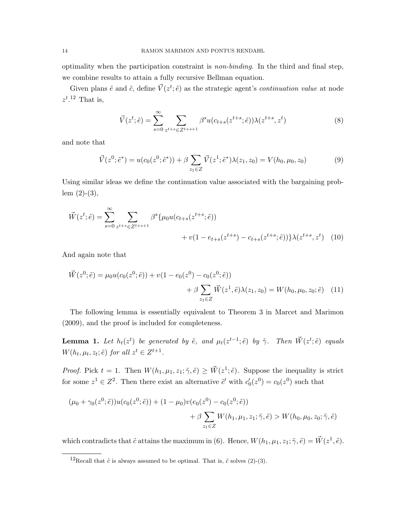optimality when the participation constraint is non-binding. In the third and final step, we combine results to attain a fully recursive Bellman equation.

Given plans  $\tilde{e}$  and  $\tilde{c}$ , define  $\vec{V}(z^t; \tilde{e})$  as the strategic agent's *continuation value* at node  $z^t$ .<sup>12</sup> That is,

$$
\vec{V}(z^t; \tilde{e}) = \sum_{s=0}^{\infty} \sum_{z^{t+s} \in Z^{t+s+1}} \beta^s u(c_{t+s}(z^{t+s}; \tilde{e})) \lambda(z^{t+s}, z^t)
$$
\n(8)

and note that

$$
\vec{V}(z^0; \tilde{e}^*) = u(c_0(z^0; \tilde{e}^*)) + \beta \sum_{z_1 \in Z} \vec{V}(z^1; \tilde{e}^*) \lambda(z_1, z_0) = V(h_0, \mu_0, z_0)
$$
(9)

Using similar ideas we define the continuation value associated with the bargaining problem  $(2)-(3)$ ,

$$
\vec{W}(z^t; \tilde{e}) = \sum_{s=0}^{\infty} \sum_{z^{t+s} \in Z^{t+s+1}} \beta^s \{ \mu_0 u(c_{t+s}(z^{t+s}; \tilde{e})) + v(1 - e_{t+s}(z^{t+s}) - c_{t+s}(z^{t+s}; \tilde{e})) \} \lambda(z^{t+s}, z^t) \tag{10}
$$

And again note that

$$
\vec{W}(z^0; \tilde{e}) = \mu_0 u(c_0(z^0; \tilde{e})) + v(1 - e_0(z^0) - c_0(z^0; \tilde{e})) \n+ \beta \sum_{z_1 \in Z} \vec{W}(z^1, \tilde{e}) \lambda(z_1, z_0) = W(h_0, \mu_0, z_0; \tilde{e}) \quad (11)
$$

The following lemma is essentially equivalent to Theorem 3 in Marcet and Marimon (2009), and the proof is included for completeness.

**Lemma 1.** Let  $h_t(z^t)$  be generated by  $\tilde{e}$ , and  $\mu_t(z^{t-1}; \tilde{e})$  by  $\tilde{\gamma}$ . Then  $\vec{W}(z^t; \tilde{e})$  equals  $W(h_t, \mu_t, z_t; \tilde{e})$  for all  $z^t \in Z^{t+1}$ .

*Proof.* Pick  $t = 1$ . Then  $W(h_1, \mu_1, z_1; \tilde{\gamma}, \tilde{e}) \geq \tilde{W}(z^1; \tilde{e})$ . Suppose the inequality is strict for some  $z^1 \in Z^2$ . Then there exist an alternative  $\tilde{c}'$  with  $c'_0(z^0) = c_0(z^0)$  such that

$$
(\mu_0 + \gamma_0(z^0; \tilde{e}))u(c_0(z^0; \tilde{e})) + (1 - \mu_0)v(e_0(z^0) - c_0(z^0; \tilde{e})) + \beta \sum_{z_1 \in Z} W(h_1, \mu_1, z_1; \tilde{\gamma}, \tilde{e}) > W(h_0, \mu_0, z_0; \tilde{\gamma}, \tilde{e})
$$

which contradicts that  $\tilde{c}$  attains the maximum in (6). Hence,  $W(h_1, \mu_1, z_1; \tilde{\gamma}, \tilde{e}) = \vec{W}(z^1, \tilde{e}).$ 

<sup>&</sup>lt;sup>12</sup>Recall that  $\tilde{c}$  is always assumed to be optimal. That is,  $\tilde{c}$  solves (2)-(3).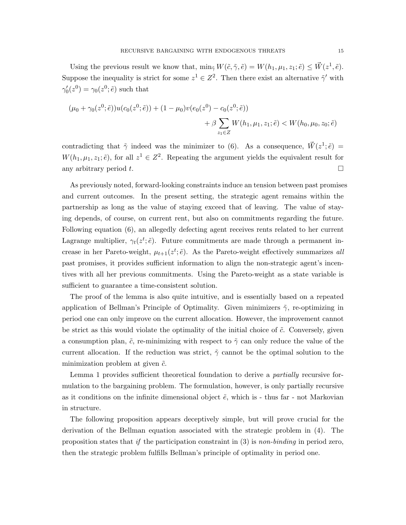Using the previous result we know that,  $\min_{\tilde{\gamma}} W(\tilde{c}, \tilde{\gamma}, \tilde{e}) = W(h_1, \mu_1, z_1; \tilde{e}) \leq \vec{W}(z^1, \tilde{e}).$ Suppose the inequality is strict for some  $z^1 \in \mathbb{Z}^2$ . Then there exist an alternative  $\tilde{\gamma}'$  with  $\gamma'_0(z^0) = \gamma_0(z^0; \tilde{e})$  such that

$$
(\mu_0 + \gamma_0(z^0; \tilde{e}))u(c_0(z^0; \tilde{e})) + (1 - \mu_0)v(e_0(z^0) - c_0(z^0; \tilde{e})) + \beta \sum_{z_1 \in Z} W(h_1, \mu_1, z_1; \tilde{e}) < W(h_0, \mu_0, z_0; \tilde{e})
$$

contradicting that  $\tilde{\gamma}$  indeed was the minimizer to (6). As a consequence,  $\vec{W}(z^1;\tilde{e}) =$  $W(h_1, \mu_1, z_1; \tilde{e})$ , for all  $z^1 \in \mathbb{Z}^2$ . Repeating the argument yields the equivalent result for any arbitrary period t.  $\Box$ 

As previously noted, forward-looking constraints induce an tension between past promises and current outcomes. In the present setting, the strategic agent remains within the partnership as long as the value of staying exceed that of leaving. The value of staying depends, of course, on current rent, but also on commitments regarding the future. Following equation (6), an allegedly defecting agent receives rents related to her current Lagrange multiplier,  $\gamma_t(z^t; \tilde{e})$ . Future commitments are made through a permanent increase in her Pareto-weight,  $\mu_{t+1}(z^t; \tilde{e})$ . As the Pareto-weight effectively summarizes all past promises, it provides sufficient information to align the non-strategic agent's incentives with all her previous commitments. Using the Pareto-weight as a state variable is sufficient to guarantee a time-consistent solution.

The proof of the lemma is also quite intuitive, and is essentially based on a repeated application of Bellman's Principle of Optimality. Given minimizers  $\tilde{\gamma}$ , re-optimizing in period one can only improve on the current allocation. However, the improvement cannot be strict as this would violate the optimality of the initial choice of  $\tilde{c}$ . Conversely, given a consumption plan,  $\tilde{c}$ , re-minimizing with respect to  $\tilde{\gamma}$  can only reduce the value of the current allocation. If the reduction was strict,  $\tilde{\gamma}$  cannot be the optimal solution to the minimization problem at given  $\tilde{c}$ .

Lemma 1 provides sufficient theoretical foundation to derive a *partially* recursive formulation to the bargaining problem. The formulation, however, is only partially recursive as it conditions on the infinite dimensional object  $\tilde{e}$ , which is - thus far - not Markovian in structure.

The following proposition appears deceptively simple, but will prove crucial for the derivation of the Bellman equation associated with the strategic problem in (4). The proposition states that if the participation constraint in  $(3)$  is non-binding in period zero, then the strategic problem fulfills Bellman's principle of optimality in period one.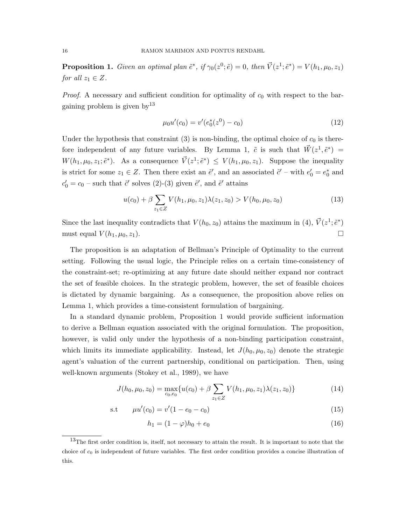**Proposition 1.** Given an optimal plan  $\tilde{e}^*$ , if  $\gamma_0(z^0; \tilde{e}) = 0$ , then  $\vec{V}(z^1; \tilde{e}^*) = V(h_1, \mu_0, z_1)$ for all  $z_1 \in Z$ .

*Proof.* A necessary and sufficient condition for optimality of  $c_0$  with respect to the bargaining problem is given  $by<sup>13</sup>$ 

$$
\mu_0 u'(c_0) = v'(e_0^*(z^0) - c_0)
$$
\n(12)

Under the hypothesis that constraint (3) is non-binding, the optimal choice of  $c_0$  is therefore independent of any future variables. By Lemma 1,  $\tilde{c}$  is such that  $\vec{W}(z^1, \tilde{e}^*)$  =  $W(h_1, \mu_0, z_1; \tilde{e}^*)$ . As a consequence  $\vec{V}(z^1; \tilde{e}^*) \leq V(h_1, \mu_0, z_1)$ . Suppose the inequality is strict for some  $z_1 \in Z$ . Then there exist an  $\tilde{e}'$ , and an associated  $\tilde{c}'$  – with  $e'_0 = e_0^*$  and  $c'_0 = c_0$  – such that  $\tilde{c}'$  solves (2)-(3) given  $\tilde{e}'$ , and  $\tilde{e}'$  attains

$$
u(c_0) + \beta \sum_{z_1 \in Z} V(h_1, \mu_0, z_1) \lambda(z_1, z_0) > V(h_0, \mu_0, z_0)
$$
\n(13)

Since the last inequality contradicts that  $V(h_0, z_0)$  attains the maximum in (4),  $\vec{V}(z^1; \tilde{e}^*)$ must equal  $V(h_1, \mu_0, z_1)$ .

The proposition is an adaptation of Bellman's Principle of Optimality to the current setting. Following the usual logic, the Principle relies on a certain time-consistency of the constraint-set; re-optimizing at any future date should neither expand nor contract the set of feasible choices. In the strategic problem, however, the set of feasible choices is dictated by dynamic bargaining. As a consequence, the proposition above relies on Lemma 1, which provides a time-consistent formulation of bargaining.

In a standard dynamic problem, Proposition 1 would provide sufficient information to derive a Bellman equation associated with the original formulation. The proposition, however, is valid only under the hypothesis of a non-binding participation constraint, which limits its immediate applicability. Instead, let  $J(h_0, \mu_0, z_0)$  denote the strategic agent's valuation of the current partnership, conditional on participation. Then, using well-known arguments (Stokey et al., 1989), we have

$$
J(h_0, \mu_0, z_0) = \max_{c_0, e_0} \{ u(c_0) + \beta \sum_{z_1 \in Z} V(h_1, \mu_0, z_1) \lambda(z_1, z_0) \}
$$
(14)

$$
s.t \t\t \mu u'(c_0) = v'(1 - e_0 - c_0) \t\t (15)
$$

$$
h_1 = (1 - \varphi)h_0 + e_0 \tag{16}
$$

<sup>&</sup>lt;sup>13</sup>The first order condition is, itself, not necessary to attain the result. It is important to note that the choice of  $c_0$  is independent of future variables. The first order condition provides a concise illustration of this.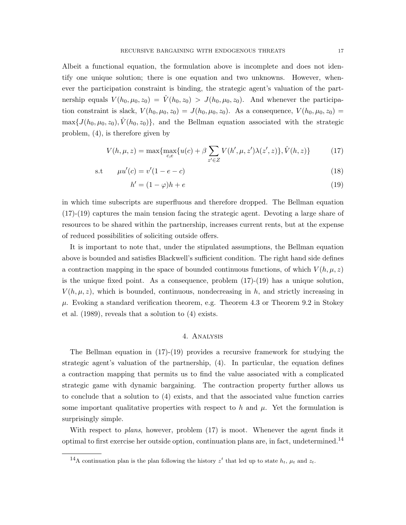Albeit a functional equation, the formulation above is incomplete and does not identify one unique solution; there is one equation and two unknowns. However, whenever the participation constraint is binding, the strategic agent's valuation of the partnership equals  $V(h_0, \mu_0, z_0) = \hat{V}(h_0, z_0) > J(h_0, \mu_0, z_0)$ . And whenever the participation constraint is slack,  $V(h_0, \mu_0, z_0) = J(h_0, \mu_0, z_0)$ . As a consequence,  $V(h_0, \mu_0, z_0) =$  $\max\{J(h_0,\mu_0,z_0),\hat{V}(h_0,z_0)\}\$ , and the Bellman equation associated with the strategic problem, (4), is therefore given by

$$
V(h, \mu, z) = \max \{ \max_{c, e} \{ u(c) + \beta \sum_{z' \in Z} V(h', \mu, z') \lambda(z', z) \}, \hat{V}(h, z) \}
$$
(17)

s.t 
$$
\mu u'(c) = v'(1 - e - c)
$$
 (18)

$$
h' = (1 - \varphi)h + e \tag{19}
$$

in which time subscripts are superfluous and therefore dropped. The Bellman equation (17)-(19) captures the main tension facing the strategic agent. Devoting a large share of resources to be shared within the partnership, increases current rents, but at the expense of reduced possibilities of soliciting outside offers.

It is important to note that, under the stipulated assumptions, the Bellman equation above is bounded and satisfies Blackwell's sufficient condition. The right hand side defines a contraction mapping in the space of bounded continuous functions, of which  $V(h, \mu, z)$ is the unique fixed point. As a consequence, problem  $(17)-(19)$  has a unique solution,  $V(h, \mu, z)$ , which is bounded, continuous, nondecreasing in h, and strictly increasing in  $\mu$ . Evoking a standard verification theorem, e.g. Theorem 4.3 or Theorem 9.2 in Stokey et al. (1989), reveals that a solution to (4) exists.

### 4. Analysis

The Bellman equation in (17)-(19) provides a recursive framework for studying the strategic agent's valuation of the partnership, (4). In particular, the equation defines a contraction mapping that permits us to find the value associated with a complicated strategic game with dynamic bargaining. The contraction property further allows us to conclude that a solution to (4) exists, and that the associated value function carries some important qualitative properties with respect to h and  $\mu$ . Yet the formulation is surprisingly simple.

With respect to *plans*, however, problem  $(17)$  is moot. Whenever the agent finds it optimal to first exercise her outside option, continuation plans are, in fact, undetermined.<sup>14</sup>

<sup>&</sup>lt;sup>14</sup>A continuation plan is the plan following the history  $z^t$  that led up to state  $h_t$ ,  $\mu_t$  and  $z_t$ .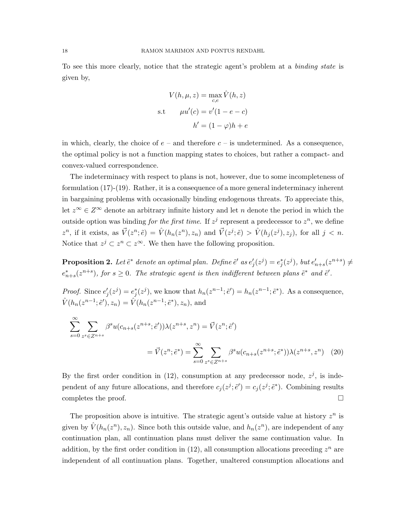To see this more clearly, notice that the strategic agent's problem at a *binding state* is given by,

$$
V(h, \mu, z) = \max_{c, e} \hat{V}(h, z)
$$
  
s.t 
$$
\mu u'(c) = v'(1 - e - c)
$$

$$
h' = (1 - \varphi)h + e
$$

in which, clearly, the choice of  $e$  – and therefore  $c$  – is undetermined. As a consequence, the optimal policy is not a function mapping states to choices, but rather a compact- and convex-valued correspondence.

The indeterminacy with respect to plans is not, however, due to some incompleteness of formulation (17)-(19). Rather, it is a consequence of a more general indeterminacy inherent in bargaining problems with occasionally binding endogenous threats. To appreciate this, let  $z^{\infty} \in Z^{\infty}$  denote an arbitrary infinite history and let n denote the period in which the outside option was binding *for the first time*. If  $z^j$  represent a predecessor to  $z^n$ , we define  $z^n$ , if it exists, as  $\vec{V}(z^n; \tilde{e}) = \hat{V}(h_n(z^n), z_n)$  and  $\vec{V}(z^j; \tilde{e}) > \hat{V}(h_j(z^j), z_j)$ , for all  $j < n$ . Notice that  $z^j \subset z^n \subset z^\infty$ . We then have the following proposition.

**Proposition 2.** Let  $\tilde{e}^*$  denote an optimal plan. Define  $\tilde{e}'$  as  $e'_j(z^j) = e^*_j(z^j)$ , but  $e'_{n+s}(z^{n+s}) \neq$  $e_{n+s}^{*}(z^{n+s})$ , for  $s \geq 0$ . The strategic agent is then indifferent between plans  $\tilde{e}^{*}$  and  $\tilde{e}'$ .

*Proof.* Since  $e'_j(z^j) = e_j^*(z^j)$ , we know that  $h_n(z^{n-1}; \tilde{e}') = h_n(z^{n-1}; \tilde{e}^*)$ . As a consequence,  $\hat{V}(h_n(z^{n-1}; \tilde{e}'), z_n) = \hat{V}(h_n(z^{n-1}; \tilde{e}^*), z_n)$ , and

$$
\sum_{s=0}^{\infty} \sum_{z^s \in Z^{n+s}} \beta^s u(c_{n+s}(z^{n+s}; \tilde{e}')) \lambda(z^{n+s}, z^n) = \vec{V}(z^n; \tilde{e}')
$$
  
=  $\vec{V}(z^n; \tilde{e}^*) = \sum_{s=0}^{\infty} \sum_{z^s \in Z^{n+s}} \beta^s u(c_{n+s}(z^{n+s}; \tilde{e}^*)) \lambda(z^{n+s}, z^n)$  (20)

By the first order condition in (12), consumption at any predecessor node,  $z^{j}$ , is independent of any future allocations, and therefore  $c_j(z^j; \tilde{e}') = c_j(z^j; \tilde{e}^*)$ . Combining results completes the proof.  $\Box$ 

The proposition above is intuitive. The strategic agent's outside value at history  $z^n$  is given by  $\hat{V}(h_n(z^n), z_n)$ . Since both this outside value, and  $h_n(z^n)$ , are independent of any continuation plan, all continuation plans must deliver the same continuation value. In addition, by the first order condition in  $(12)$ , all consumption allocations preceding  $z<sup>n</sup>$  are independent of all continuation plans. Together, unaltered consumption allocations and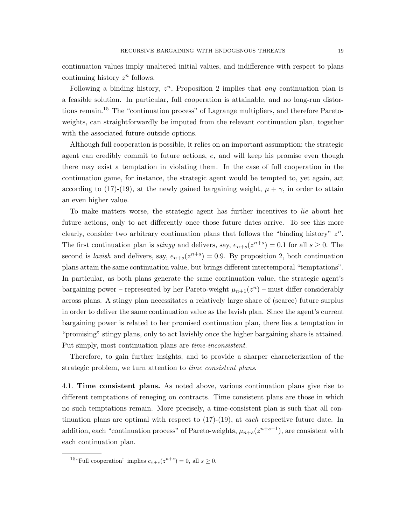continuation values imply unaltered initial values, and indifference with respect to plans continuing history  $z^n$  follows.

Following a binding history,  $z^n$ , Proposition 2 implies that *any* continuation plan is a feasible solution. In particular, full cooperation is attainable, and no long-run distortions remain.<sup>15</sup> The "continuation process" of Lagrange multipliers, and therefore Paretoweights, can straightforwardly be imputed from the relevant continuation plan, together with the associated future outside options.

Although full cooperation is possible, it relies on an important assumption; the strategic agent can credibly commit to future actions, e, and will keep his promise even though there may exist a temptation in violating them. In the case of full cooperation in the continuation game, for instance, the strategic agent would be tempted to, yet again, act according to (17)-(19), at the newly gained bargaining weight,  $\mu + \gamma$ , in order to attain an even higher value.

To make matters worse, the strategic agent has further incentives to lie about her future actions, only to act differently once those future dates arrive. To see this more clearly, consider two arbitrary continuation plans that follows the "binding history"  $z^n$ . The first continuation plan is *stingy* and delivers, say,  $e_{n+s}(z^{n+s}) = 0.1$  for all  $s \ge 0$ . The second is *lavish* and delivers, say,  $e_{n+s}(z^{n+s}) = 0.9$ . By proposition 2, both continuation plans attain the same continuation value, but brings different intertemporal "temptations". In particular, as both plans generate the same continuation value, the strategic agent's bargaining power – represented by her Pareto-weight  $\mu_{n+1}(z^n)$  – must differ considerably across plans. A stingy plan necessitates a relatively large share of (scarce) future surplus in order to deliver the same continuation value as the lavish plan. Since the agent's current bargaining power is related to her promised continuation plan, there lies a temptation in "promising" stingy plans, only to act lavishly once the higher bargaining share is attained. Put simply, most continuation plans are time-inconsistent.

Therefore, to gain further insights, and to provide a sharper characterization of the strategic problem, we turn attention to *time consistent plans*.

4.1. Time consistent plans. As noted above, various continuation plans give rise to different temptations of reneging on contracts. Time consistent plans are those in which no such temptations remain. More precisely, a time-consistent plan is such that all continuation plans are optimal with respect to  $(17)-(19)$ , at *each* respective future date. In addition, each "continuation process" of Pareto-weights,  $\mu_{n+s}(z^{n+s-1})$ , are consistent with each continuation plan.

<sup>&</sup>lt;sup>15</sup>"Full cooperation" implies  $e_{n+s}(z^{n+s})=0$ , all  $s\geq 0$ .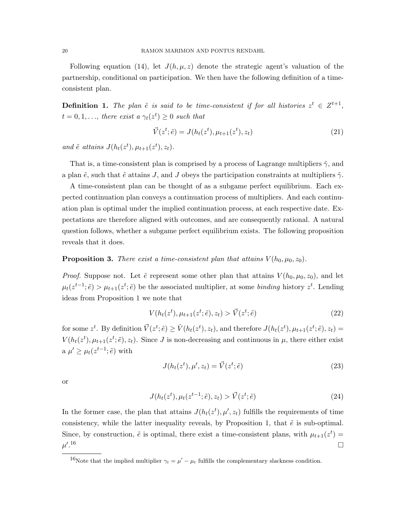Following equation (14), let  $J(h, \mu, z)$  denote the strategic agent's valuation of the partnership, conditional on participation. We then have the following definition of a timeconsistent plan.

**Definition 1.** The plan  $\tilde{e}$  is said to be time-consistent if for all histories  $z^t \in Z^{t+1}$ ,  $t = 0, 1, \ldots$ , there exist a  $\gamma_t(z^t) \geq 0$  such that

$$
\vec{V}(z^t; \tilde{e}) = J(h_t(z^t), \mu_{t+1}(z^t), z_t)
$$
\n(21)

and  $\tilde{e}$  attains  $J(h_t(z^t), \mu_{t+1}(z^t), z_t)$ .

That is, a time-consistent plan is comprised by a process of Lagrange multipliers  $\tilde{\gamma}$ , and a plan  $\tilde{e}$ , such that  $\tilde{e}$  attains J, and J obeys the participation constraints at multipliers  $\tilde{\gamma}$ .

A time-consistent plan can be thought of as a subgame perfect equilibrium. Each expected continuation plan conveys a continuation process of multipliers. And each continuation plan is optimal under the implied continuation process, at each respective date. Expectations are therefore aligned with outcomes, and are consequently rational. A natural question follows, whether a subgame perfect equilibrium exists. The following proposition reveals that it does.

### **Proposition 3.** There exist a time-consistent plan that attains  $V(h_0, \mu_0, z_0)$ .

*Proof.* Suppose not. Let  $\tilde{e}$  represent some other plan that attains  $V(h_0, \mu_0, z_0)$ , and let  $\mu_t(z^{t-1}; \tilde{e}) > \mu_{t+1}(z^t; \tilde{e})$  be the associated multiplier, at some binding history  $z^t$ . Lending ideas from Proposition 1 we note that

$$
V(h_t(z^t), \mu_{t+1}(z^t; \tilde{e}), z_t) > \vec{V}(z^t; \tilde{e})
$$
\n(22)

for some  $z^t$ . By definition  $\vec{V}(z^t; \tilde{e}) \geq \hat{V}(h_t(z^t), z_t)$ , and therefore  $J(h_t(z^t), \mu_{t+1}(z^t; \tilde{e}), z_t) =$  $V(h_t(z^t), \mu_{t+1}(z^t; \tilde{e}), z_t)$ . Since J is non-decreasing and continuous in  $\mu$ , there either exist a  $\mu' \geq \mu_t(z^{t-1}; \tilde{e})$  with

$$
J(h_t(z^t), \mu', z_t) = \vec{V}(z^t; \tilde{e})
$$
\n(23)

or

$$
J(h_t(z^t), \mu_t(z^{t-1}; \tilde{e}), z_t) > \vec{V}(z^t; \tilde{e})
$$
\n(24)

In the former case, the plan that attains  $J(h_t(z^t), \mu', z_t)$  fulfills the requirements of time consistency, while the latter inequality reveals, by Proposition 1, that  $\tilde{e}$  is sub-optimal. Since, by construction,  $\tilde{e}$  is optimal, there exist a time-consistent plans, with  $\mu_{t+1}(z^t)$  $\mu'.$  $16$ 

<sup>&</sup>lt;sup>16</sup>Note that the implied multiplier  $\gamma_t = \mu' - \mu_t$  fulfills the complementary slackness condition.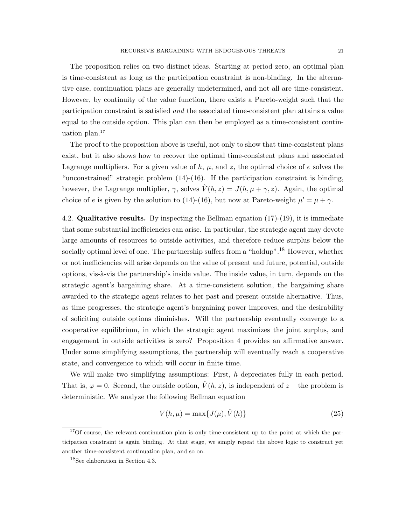The proposition relies on two distinct ideas. Starting at period zero, an optimal plan is time-consistent as long as the participation constraint is non-binding. In the alternative case, continuation plans are generally undetermined, and not all are time-consistent. However, by continuity of the value function, there exists a Pareto-weight such that the participation constraint is satisfied and the associated time-consistent plan attains a value equal to the outside option. This plan can then be employed as a time-consistent continuation plan. $17$ 

The proof to the proposition above is useful, not only to show that time-consistent plans exist, but it also shows how to recover the optimal time-consistent plans and associated Lagrange multipliers. For a given value of  $h, \mu$ , and  $z$ , the optimal choice of e solves the "unconstrained" strategic problem (14)-(16). If the participation constraint is binding, however, the Lagrange multiplier,  $\gamma$ , solves  $\hat{V}(h, z) = J(h, \mu + \gamma, z)$ . Again, the optimal choice of e is given by the solution to (14)-(16), but now at Pareto-weight  $\mu' = \mu + \gamma$ .

4.2. **Qualitative results.** By inspecting the Bellman equation  $(17)-(19)$ , it is immediate that some substantial inefficiencies can arise. In particular, the strategic agent may devote large amounts of resources to outside activities, and therefore reduce surplus below the socially optimal level of one. The partnership suffers from a "holdup".<sup>18</sup> However, whether or not inefficiencies will arise depends on the value of present and future, potential, outside options, vis-à-vis the partnership's inside value. The inside value, in turn, depends on the strategic agent's bargaining share. At a time-consistent solution, the bargaining share awarded to the strategic agent relates to her past and present outside alternative. Thus, as time progresses, the strategic agent's bargaining power improves, and the desirability of soliciting outside options diminishes. Will the partnership eventually converge to a cooperative equilibrium, in which the strategic agent maximizes the joint surplus, and engagement in outside activities is zero? Proposition 4 provides an affirmative answer. Under some simplifying assumptions, the partnership will eventually reach a cooperative state, and convergence to which will occur in finite time.

We will make two simplifying assumptions: First, h depreciates fully in each period. That is,  $\varphi = 0$ . Second, the outside option,  $\hat{V}(h, z)$ , is independent of  $z$  – the problem is deterministic. We analyze the following Bellman equation

$$
V(h, \mu) = \max\{J(\mu), \hat{V}(h)\}\tag{25}
$$

 $17$ Of course, the relevant continuation plan is only time-consistent up to the point at which the participation constraint is again binding. At that stage, we simply repeat the above logic to construct yet another time-consistent continuation plan, and so on.

<sup>&</sup>lt;sup>18</sup>See elaboration in Section 4.3.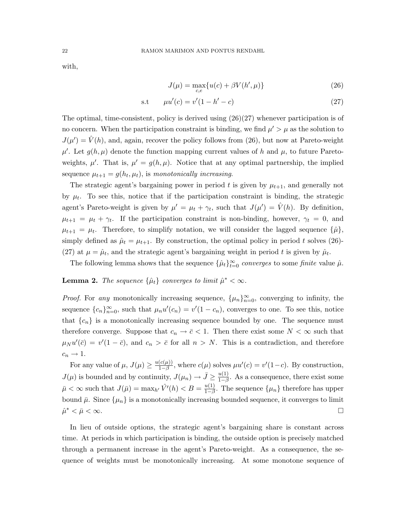with,

$$
J(\mu) = \max_{c,e} \{ u(c) + \beta V(h', \mu) \}
$$
 (26)

$$
s.t \t\t \mu u'(c) = v'(1 - h' - c) \t\t (27)
$$

The optimal, time-consistent, policy is derived using  $(26)(27)$  whenever participation is of no concern. When the participation constraint is binding, we find  $\mu' > \mu$  as the solution to  $J(\mu') = \hat{V}(h)$ , and, again, recover the policy follows from (26), but now at Pareto-weight  $\mu'$ . Let  $g(h, \mu)$  denote the function mapping current values of h and  $\mu$ , to future Paretoweights,  $\mu'$ . That is,  $\mu' = g(h, \mu)$ . Notice that at any optimal partnership, the implied sequence  $\mu_{t+1} = g(h_t, \mu_t)$ , is monotonically increasing.

The strategic agent's bargaining power in period t is given by  $\mu_{t+1}$ , and generally not by  $\mu_t$ . To see this, notice that if the participation constraint is binding, the strategic agent's Pareto-weight is given by  $\mu' = \mu_t + \gamma_t$ , such that  $J(\mu') = \hat{V}(h)$ . By definition,  $\mu_{t+1} = \mu_t + \gamma_t$ . If the participation constraint is non-binding, however,  $\gamma_t = 0$ , and  $\mu_{t+1} = \mu_t$ . Therefore, to simplify notation, we will consider the lagged sequence  $\{\hat{\mu}\},$ simply defined as  $\hat{\mu}_t = \mu_{t+1}$ . By construction, the optimal policy in period t solves (26)-(27) at  $\mu = \hat{\mu}_t$ , and the strategic agent's bargaining weight in period t is given by  $\hat{\mu}_t$ .

The following lemma shows that the sequence  $\{\hat{\mu}_t\}_{t=0}^{\infty}$  converges to some finite value  $\hat{\mu}$ .

## **Lemma 2.** The sequence  $\{\hat{\mu}_t\}$  converges to limit  $\hat{\mu}^* < \infty$ .

*Proof.* For any monotonically increasing sequence,  $\{\mu_n\}_{n=0}^{\infty}$ , converging to infinity, the sequence  ${c_n}_{n=0}^{\infty}$ , such that  $\mu_n u'(c_n) = v'(1 - c_n)$ , converges to one. To see this, notice that  ${c_n}$  is a monotonically increasing sequence bounded by one. The sequence must therefore converge. Suppose that  $c_n \to \bar{c} < 1$ . Then there exist some  $N < \infty$  such that  $\mu_N u'(\bar{c}) = v'(1-\bar{c}),$  and  $c_n > \bar{c}$  for all  $n > N$ . This is a contradiction, and therefore  $c_n \to 1$ .

For any value of  $\mu$ ,  $J(\mu) \geq \frac{u(c(\mu))}{1-\beta}$  $\frac{(c(\mu))}{1-\beta}$ , where  $c(\mu)$  solves  $\mu u'(c) = v'(1-c)$ . By construction,  $J(\mu)$  is bounded and by continuity,  $J(\mu_n) \to \bar{J} \geq \frac{u(1)}{1-\beta}$  $\frac{u(1)}{1-\beta}$ . As a consequence, there exist some  $\bar{\mu} < \infty$  such that  $J(\bar{\mu}) = \max_{h'} \hat{V}'(h) < B = \frac{u(1)}{1-\beta}$  $\frac{u(1)}{1-\beta}$ . The sequence  $\{\mu_n\}$  therefore has upper bound  $\bar{\mu}$ . Since  $\{\mu_n\}$  is a monotonically increasing bounded sequence, it converges to limit  $\hat{\mu}^* < \bar{\mu} < \infty$ .

In lieu of outside options, the strategic agent's bargaining share is constant across time. At periods in which participation is binding, the outside option is precisely matched through a permanent increase in the agent's Pareto-weight. As a consequence, the sequence of weights must be monotonically increasing. At some monotone sequence of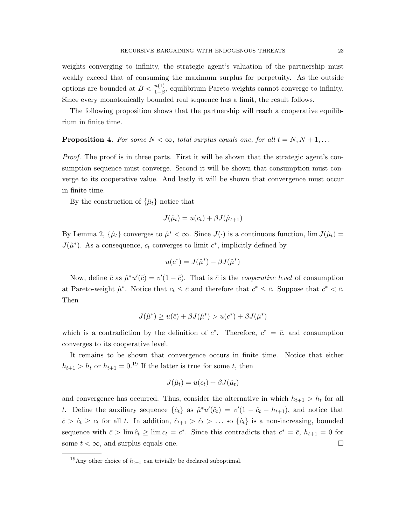weights converging to infinity, the strategic agent's valuation of the partnership must weakly exceed that of consuming the maximum surplus for perpetuity. As the outside options are bounded at  $B < \frac{u(1)}{1-\beta}$ , equilibrium Pareto-weights cannot converge to infinity. Since every monotonically bounded real sequence has a limit, the result follows.

The following proposition shows that the partnership will reach a cooperative equilibrium in finite time.

**Proposition 4.** For some  $N < \infty$ , total surplus equals one, for all  $t = N, N + 1, \ldots$ 

Proof. The proof is in three parts. First it will be shown that the strategic agent's consumption sequence must converge. Second it will be shown that consumption must converge to its cooperative value. And lastly it will be shown that convergence must occur in finite time.

By the construction of  $\{\hat{\mu}_t\}$  notice that

$$
J(\hat{\mu}_t) = u(c_t) + \beta J(\hat{\mu}_{t+1})
$$

By Lemma 2,  $\{\hat{\mu}_t\}$  converges to  $\hat{\mu}^* < \infty$ . Since  $J(\cdot)$  is a continuous function,  $\lim J(\hat{\mu}_t) =$  $J(\hat{\mu}^*)$ . As a consequence,  $c_t$  converges to limit  $c^*$ , implicitly defined by

$$
u(c^*) = J(\hat{\mu}^*) - \beta J(\hat{\mu}^*)
$$

Now, define  $\bar{c}$  as  $\hat{\mu}^* u'(\bar{c}) = v'(1 - \bar{c})$ . That is  $\bar{c}$  is the *cooperative level* of consumption at Pareto-weight  $\hat{\mu}^*$ . Notice that  $c_t \leq \bar{c}$  and therefore that  $c^* \leq \bar{c}$ . Suppose that  $c^* < \bar{c}$ . Then

$$
J(\hat{\mu}^*) \ge u(\bar{c}) + \beta J(\hat{\mu}^*) > u(c^*) + \beta J(\hat{\mu}^*)
$$

which is a contradiction by the definition of  $c^*$ . Therefore,  $c^* = \overline{c}$ , and consumption converges to its cooperative level.

It remains to be shown that convergence occurs in finite time. Notice that either  $h_{t+1} > h_t$  or  $h_{t+1} = 0$ .<sup>19</sup> If the latter is true for some t, then

$$
J(\hat{\mu}_t) = u(c_t) + \beta J(\hat{\mu}_t)
$$

and convergence has occurred. Thus, consider the alternative in which  $h_{t+1} > h_t$  for all t. Define the auxiliary sequence  $\{\hat{c}_t\}$  as  $\hat{\mu}^* u'(\hat{c}_t) = v'(1 - \hat{c}_t - h_{t+1})$ , and notice that  $\bar{c} > \hat{c}_t \geq c_t$  for all t. In addition,  $\hat{c}_{t+1} > \hat{c}_t > \ldots$  so  $\{\hat{c}_t\}$  is a non-increasing, bounded sequence with  $\bar{c} > \lim \hat{c}_t \geq \lim c_t = c^*$ . Since this contradicts that  $c^* = \bar{c}$ ,  $h_{t+1} = 0$  for some  $t < \infty$ , and surplus equals one.

<sup>&</sup>lt;sup>19</sup>Any other choice of  $h_{t+1}$  can trivially be declared suboptimal.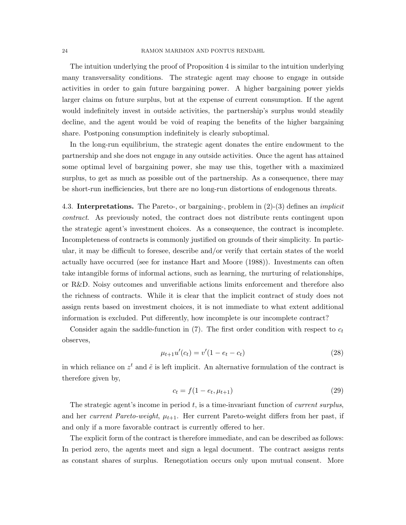The intuition underlying the proof of Proposition 4 is similar to the intuition underlying many transversality conditions. The strategic agent may choose to engage in outside activities in order to gain future bargaining power. A higher bargaining power yields larger claims on future surplus, but at the expense of current consumption. If the agent would indefinitely invest in outside activities, the partnership's surplus would steadily decline, and the agent would be void of reaping the benefits of the higher bargaining share. Postponing consumption indefinitely is clearly suboptimal.

In the long-run equilibrium, the strategic agent donates the entire endowment to the partnership and she does not engage in any outside activities. Once the agent has attained some optimal level of bargaining power, she may use this, together with a maximized surplus, to get as much as possible out of the partnership. As a consequence, there may be short-run inefficiencies, but there are no long-run distortions of endogenous threats.

4.3. Interpretations. The Pareto-, or bargaining-, problem in (2)-(3) defines an implicit contract. As previously noted, the contract does not distribute rents contingent upon the strategic agent's investment choices. As a consequence, the contract is incomplete. Incompleteness of contracts is commonly justified on grounds of their simplicity. In particular, it may be difficult to foresee, describe and/or verify that certain states of the world actually have occurred (see for instance Hart and Moore (1988)). Investments can often take intangible forms of informal actions, such as learning, the nurturing of relationships, or R&D. Noisy outcomes and unverifiable actions limits enforcement and therefore also the richness of contracts. While it is clear that the implicit contract of study does not assign rents based on investment choices, it is not immediate to what extent additional information is excluded. Put differently, how incomplete is our incomplete contract?

Consider again the saddle-function in  $(7)$ . The first order condition with respect to  $c_t$ observes,

$$
\mu_{t+1}u'(c_t) = v'(1 - e_t - c_t)
$$
\n(28)

in which reliance on  $z^t$  and  $\tilde{e}$  is left implicit. An alternative formulation of the contract is therefore given by,

$$
c_t = f(1 - e_t, \mu_{t+1})
$$
\n(29)

The strategic agent's income in period  $t$ , is a time-invariant function of *current surplus*, and her *current Pareto-weight*,  $\mu_{t+1}$ . Her current Pareto-weight differs from her past, if and only if a more favorable contract is currently offered to her.

The explicit form of the contract is therefore immediate, and can be described as follows: In period zero, the agents meet and sign a legal document. The contract assigns rents as constant shares of surplus. Renegotiation occurs only upon mutual consent. More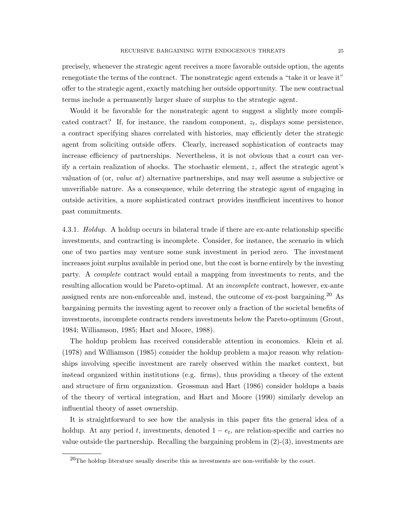precisely, whenever the strategic agent receives a more favorable outside option, the agents renegotiate the terms of the contract. The nonstrategic agent extends a "take it or leave it" offer to the strategic agent, exactly matching her outside opportunity. The new contractual terms include a permanently larger share of surplus to the strategic agent.

Would it be favorable for the nonstrategic agent to suggest a slightly more complicated contract? If, for instance, the random component,  $z_t$ , displays some persistence, a contract specifying shares correlated with histories, may efficiently deter the strategic agent from soliciting outside offers. Clearly, increased sophistication of contracts may increase efficiency of partnerships. Nevertheless, it is not obvious that a court can verify a certain realization of shocks. The stochastic element, z, affect the strategic agent's valuation of (or, value at) alternative partnerships, and may well assume a subjective or unverifiable nature. As a consequence, while deterring the strategic agent of engaging in outside activities, a more sophisticated contract provides insufficient incentives to honor past commitments.

4.3.1. *Holdup.* A holdup occurs in bilateral trade if there are ex-ante relationship specific investments, and contracting is incomplete. Consider, for instance, the scenario in which one of two parties may venture some sunk investment in period zero. The investment increases joint surplus available in period one, but the cost is borne entirely by the investing party. A complete contract would entail a mapping from investments to rents, and the resulting allocation would be Pareto-optimal. At an *incomplete* contract, however, ex-ante assigned rents are non-enforceable and, instead, the outcome of  $ex$ -post bargaining.<sup>20</sup> As bargaining permits the investing agent to recover only a fraction of the societal benefits of investments, incomplete contracts renders investments below the Pareto-optimum (Grout, 1984; Williamson, 1985; Hart and Moore, 1988).

The holdup problem has received considerable attention in economics. Klein et al. (1978) and Williamson (1985) consider the holdup problem a major reason why relationships involving specific investment are rarely observed within the market context, but instead organized within institutions (e.g. firms), thus providing a theory of the extent and structure of firm organization. Grossman and Hart (1986) consider holdups a basis of the theory of vertical integration, and Hart and Moore (1990) similarly develop an influential theory of asset ownership.

It is straightforward to see how the analysis in this paper fits the general idea of a holdup. At any period t, investments, denoted  $1 - e_t$ , are relation-specific and carries no value outside the partnership. Recalling the bargaining problem in  $(2)-(3)$ , investments are

 $^{20}$ The holdup literature usually describe this as investments are non-verifiable by the court.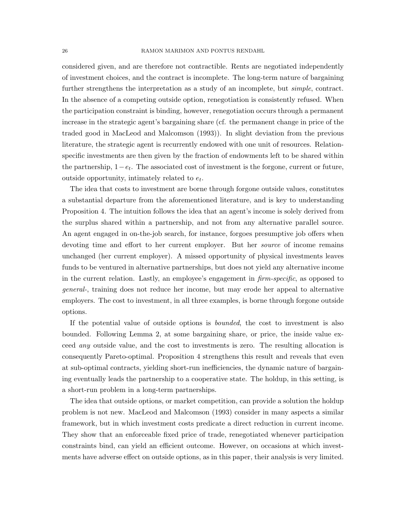considered given, and are therefore not contractible. Rents are negotiated independently of investment choices, and the contract is incomplete. The long-term nature of bargaining further strengthens the interpretation as a study of an incomplete, but *simple*, contract. In the absence of a competing outside option, renegotiation is consistently refused. When the participation constraint is binding, however, renegotiation occurs through a permanent increase in the strategic agent's bargaining share (cf. the permanent change in price of the traded good in MacLeod and Malcomson (1993)). In slight deviation from the previous literature, the strategic agent is recurrently endowed with one unit of resources. Relationspecific investments are then given by the fraction of endowments left to be shared within the partnership,  $1-e_t$ . The associated cost of investment is the forgone, current or future, outside opportunity, intimately related to  $e_t$ .

The idea that costs to investment are borne through forgone outside values, constitutes a substantial departure from the aforementioned literature, and is key to understanding Proposition 4. The intuition follows the idea that an agent's income is solely derived from the surplus shared within a partnership, and not from any alternative parallel source. An agent engaged in on-the-job search, for instance, forgoes presumptive job offers when devoting time and effort to her current employer. But her *source* of income remains unchanged (her current employer). A missed opportunity of physical investments leaves funds to be ventured in alternative partnerships, but does not yield any alternative income in the current relation. Lastly, an employee's engagement in firm-specific, as opposed to general-, training does not reduce her income, but may erode her appeal to alternative employers. The cost to investment, in all three examples, is borne through forgone outside options.

If the potential value of outside options is bounded, the cost to investment is also bounded. Following Lemma 2, at some bargaining share, or price, the inside value exceed any outside value, and the cost to investments is zero. The resulting allocation is consequently Pareto-optimal. Proposition 4 strengthens this result and reveals that even at sub-optimal contracts, yielding short-run inefficiencies, the dynamic nature of bargaining eventually leads the partnership to a cooperative state. The holdup, in this setting, is a short-run problem in a long-term partnerships.

The idea that outside options, or market competition, can provide a solution the holdup problem is not new. MacLeod and Malcomson (1993) consider in many aspects a similar framework, but in which investment costs predicate a direct reduction in current income. They show that an enforceable fixed price of trade, renegotiated whenever participation constraints bind, can yield an efficient outcome. However, on occasions at which investments have adverse effect on outside options, as in this paper, their analysis is very limited.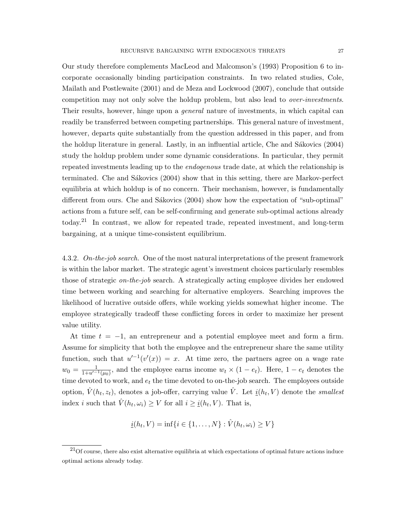Our study therefore complements MacLeod and Malcomson's (1993) Proposition 6 to incorporate occasionally binding participation constraints. In two related studies, Cole, Mailath and Postlewaite (2001) and de Meza and Lockwood (2007), conclude that outside competition may not only solve the holdup problem, but also lead to over-investments. Their results, however, hinge upon a *general* nature of investments, in which capital can readily be transferred between competing partnerships. This general nature of investment, however, departs quite substantially from the question addressed in this paper, and from the holdup literature in general. Lastly, in an influential article, Che and Sákovics (2004) study the holdup problem under some dynamic considerations. In particular, they permit repeated investments leading up to the *endogenous* trade date, at which the relationship is terminated. Che and Sákovics (2004) show that in this setting, there are Markov-perfect equilibria at which holdup is of no concern. Their mechanism, however, is fundamentally different from ours. Che and Sákovics (2004) show how the expectation of "sub-optimal" actions from a future self, can be self-confirming and generate sub-optimal actions already today.<sup>21</sup> In contrast, we allow for repeated trade, repeated investment, and long-term bargaining, at a unique time-consistent equilibrium.

4.3.2. On-the-job search. One of the most natural interpretations of the present framework is within the labor market. The strategic agent's investment choices particularly resembles those of strategic on-the-job search. A strategically acting employee divides her endowed time between working and searching for alternative employers. Searching improves the likelihood of lucrative outside offers, while working yields somewhat higher income. The employee strategically tradeoff these conflicting forces in order to maximize her present value utility.

At time  $t = -1$ , an entrepreneur and a potential employee meet and form a firm. Assume for simplicity that both the employee and the entrepreneur share the same utility function, such that  $u'^{-1}(v'(x)) = x$ . At time zero, the partners agree on a wage rate  $w_0 = \frac{1}{1+u^{-1}(\mu_0)}$ , and the employee earns income  $w_t \times (1-e_t)$ . Here,  $1-e_t$  denotes the time devoted to work, and  $e_t$  the time devoted to on-the-job search. The employees outside option,  $\hat{V}(h_t, z_t)$ , denotes a job-offer, carrying value  $\hat{V}$ . Let  $\underline{i}(h_t, V)$  denote the *smallest* index *i* such that  $\hat{V}(h_t, \omega_i) \geq V$  for all  $i \geq \underline{i}(h_t, V)$ . That is,

$$
\underline{i}(h_t, V) = \inf\{i \in \{1, ..., N\} : \hat{V}(h_t, \omega_i) \ge V\}
$$

 $21$ Of course, there also exist alternative equilibria at which expectations of optimal future actions induce optimal actions already today.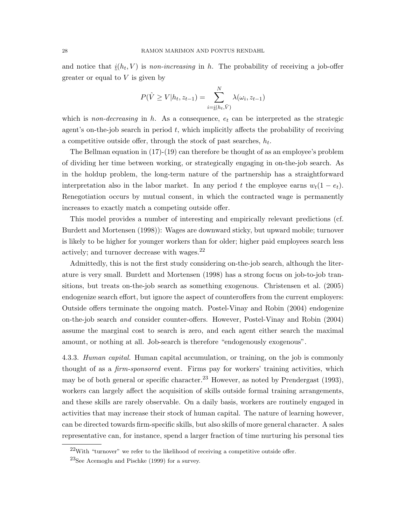and notice that  $\underline{i}(h_t, V)$  is *non-increasing* in h. The probability of receiving a job-offer greater or equal to  $V$  is given by

$$
P(\hat{V} \ge V | h_t, z_{t-1}) = \sum_{i=\underline{i}(h_t, \bar{V})}^{N} \lambda(\omega_i, z_{t-1})
$$

which is non-decreasing in h. As a consequence,  $e_t$  can be interpreted as the strategic agent's on-the-job search in period  $t$ , which implicitly affects the probability of receiving a competitive outside offer, through the stock of past searches,  $h_t$ .

The Bellman equation in (17)-(19) can therefore be thought of as an employee's problem of dividing her time between working, or strategically engaging in on-the-job search. As in the holdup problem, the long-term nature of the partnership has a straightforward interpretation also in the labor market. In any period t the employee earns  $w_t(1 - e_t)$ . Renegotiation occurs by mutual consent, in which the contracted wage is permanently increases to exactly match a competing outside offer.

This model provides a number of interesting and empirically relevant predictions (cf. Burdett and Mortensen (1998)): Wages are downward sticky, but upward mobile; turnover is likely to be higher for younger workers than for older; higher paid employees search less actively; and turnover decrease with wages.<sup>22</sup>

Admittedly, this is not the first study considering on-the-job search, although the literature is very small. Burdett and Mortensen (1998) has a strong focus on job-to-job transitions, but treats on-the-job search as something exogenous. Christensen et al. (2005) endogenize search effort, but ignore the aspect of counteroffers from the current employers: Outside offers terminate the ongoing match. Postel-Vinay and Robin (2004) endogenize on-the-job search and consider counter-offers. However, Postel-Vinay and Robin (2004) assume the marginal cost to search is zero, and each agent either search the maximal amount, or nothing at all. Job-search is therefore "endogenously exogenous".

4.3.3. Human capital. Human capital accumulation, or training, on the job is commonly thought of as a *firm-sponsored* event. Firms pay for workers' training activities, which may be of both general or specific character.<sup>23</sup> However, as noted by Prendergast (1993), workers can largely affect the acquisition of skills outside formal training arrangements, and these skills are rarely observable. On a daily basis, workers are routinely engaged in activities that may increase their stock of human capital. The nature of learning however, can be directed towards firm-specific skills, but also skills of more general character. A sales representative can, for instance, spend a larger fraction of time nurturing his personal ties

 $22$ With "turnover" we refer to the likelihood of receiving a competitive outside offer.

 $^{23}$ See Acemoglu and Pischke (1999) for a survey.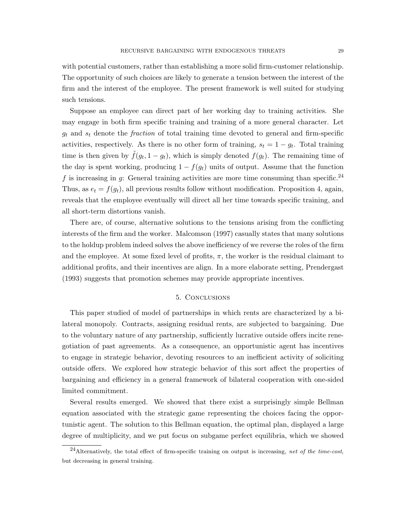with potential customers, rather than establishing a more solid firm-customer relationship. The opportunity of such choices are likely to generate a tension between the interest of the firm and the interest of the employee. The present framework is well suited for studying such tensions.

Suppose an employee can direct part of her working day to training activities. She may engage in both firm specific training and training of a more general character. Let  $g_t$  and  $s_t$  denote the *fraction* of total training time devoted to general and firm-specific activities, respectively. As there is no other form of training,  $s_t = 1 - g_t$ . Total training time is then given by  $\tilde{f}(g_t, 1-g_t)$ , which is simply denoted  $f(g_t)$ . The remaining time of the day is spent working, producing  $1 - f(g_t)$  units of output. Assume that the function f is increasing in g: General training activities are more time consuming than specific.<sup>24</sup> Thus, as  $e_t = f(g_t)$ , all previous results follow without modification. Proposition 4, again, reveals that the employee eventually will direct all her time towards specific training, and all short-term distortions vanish.

There are, of course, alternative solutions to the tensions arising from the conflicting interests of the firm and the worker. Malcomson (1997) casually states that many solutions to the holdup problem indeed solves the above inefficiency of we reverse the roles of the firm and the employee. At some fixed level of profits,  $\pi$ , the worker is the residual claimant to additional profits, and their incentives are align. In a more elaborate setting, Prendergast (1993) suggests that promotion schemes may provide appropriate incentives.

### 5. Conclusions

This paper studied of model of partnerships in which rents are characterized by a bilateral monopoly. Contracts, assigning residual rents, are subjected to bargaining. Due to the voluntary nature of any partnership, sufficiently lucrative outside offers incite renegotiation of past agreements. As a consequence, an opportunistic agent has incentives to engage in strategic behavior, devoting resources to an inefficient activity of soliciting outside offers. We explored how strategic behavior of this sort affect the properties of bargaining and efficiency in a general framework of bilateral cooperation with one-sided limited commitment.

Several results emerged. We showed that there exist a surprisingly simple Bellman equation associated with the strategic game representing the choices facing the opportunistic agent. The solution to this Bellman equation, the optimal plan, displayed a large degree of multiplicity, and we put focus on subgame perfect equilibria, which we showed

 $^{24}$ Alternatively, the total effect of firm-specific training on output is increasing, net of the time-cost, but decreasing in general training.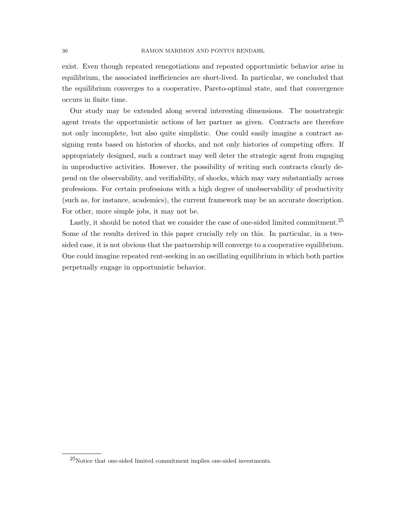exist. Even though repeated renegotiations and repeated opportunistic behavior arise in equilibrium, the associated inefficiencies are short-lived. In particular, we concluded that the equilibrium converges to a cooperative, Pareto-optimal state, and that convergence occurs in finite time.

Our study may be extended along several interesting dimensions. The nonstrategic agent treats the opportunistic actions of her partner as given. Contracts are therefore not only incomplete, but also quite simplistic. One could easily imagine a contract assigning rents based on histories of shocks, and not only histories of competing offers. If appropriately designed, such a contract may well deter the strategic agent from engaging in unproductive activities. However, the possibility of writing such contracts clearly depend on the observability, and verifiability, of shocks, which may vary substantially across professions. For certain professions with a high degree of unobservability of productivity (such as, for instance, academics), the current framework may be an accurate description. For other, more simple jobs, it may not be.

Lastly, it should be noted that we consider the case of one-sided limited commitment.<sup>25</sup> Some of the results derived in this paper crucially rely on this. In particular, in a twosided case, it is not obvious that the partnership will converge to a cooperative equilibrium. One could imagine repeated rent-seeking in an oscillating equilibrium in which both parties perpetually engage in opportunistic behavior.

 $^{25}\rm{Notice}$  that one-sided limited commitment implies one-sided investments.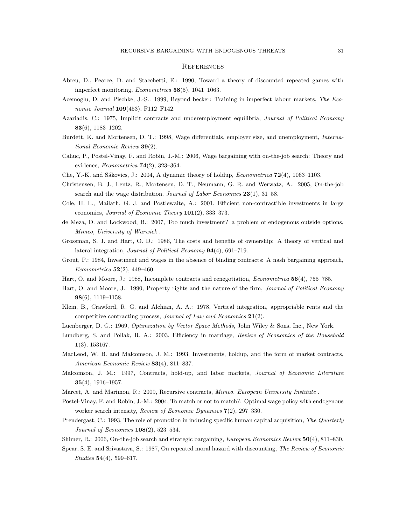#### **REFERENCES**

- Abreu, D., Pearce, D. and Stacchetti, E.: 1990, Toward a theory of discounted repeated games with imperfect monitoring, Econometrica 58(5), 1041–1063.
- Acemoglu, D. and Pischke, J.-S.: 1999, Beyond becker: Training in imperfect labour markets, The Economic Journal 109(453), F112–F142.
- Azariadis, C.: 1975, Implicit contracts and underemployment equilibria, Journal of Political Economy 83(6), 1183–1202.
- Burdett, K. and Mortensen, D. T.: 1998, Wage differentials, employer size, and unemployment, International Economic Review 39(2).
- Cahuc, P., Postel-Vinay, F. and Robin, J.-M.: 2006, Wage bargaining with on-the-job search: Theory and evidence, *Econometrica*  $74(2)$ , 323-364.
- Che, Y.-K. and Sákovics, J.: 2004, A dynamic theory of holdup, *Econometrica*  $\mathbf{72}(4)$ , 1063–1103.
- Christensen, B. J., Lentz, R., Mortensen, D. T., Neumann, G. R. and Werwatz, A.: 2005, On-the-job search and the wage distribution, *Journal of Labor Economics*  $23(1)$ ,  $31-58$ .
- Cole, H. L., Mailath, G. J. and Postlewaite, A.: 2001, Efficient non-contractible investments in large economies, Journal of Economic Theory 101(2), 333–373.
- de Meza, D. and Lockwood, B.: 2007, Too much investment? a problem of endogenous outside options, Mimeo, University of Warwick .
- Grossman, S. J. and Hart, O. D.: 1986, The costs and benefits of ownership: A theory of vertical and lateral integration, Journal of Political Economy 94(4), 691–719.
- Grout, P.: 1984, Investment and wages in the absence of binding contracts: A nash bargaining approach, *Econometrica*  $52(2)$ , 449-460.
- Hart, O. and Moore, J.: 1988, Incomplete contracts and renegotiation, *Econometrica* 56(4), 755–785.
- Hart, O. and Moore, J.: 1990, Property rights and the nature of the firm, *Journal of Political Economy* 98(6), 1119–1158.
- Klein, B., Crawford, R. G. and Alchian, A. A.: 1978, Vertical integration, appropriable rents and the competitive contracting process, Journal of Law and Economics 21(2).
- Luenberger, D. G.: 1969, Optimization by Vector Space Methods, John Wiley & Sons, Inc., New York.
- Lundberg, S. and Pollak, R. A.: 2003, Efficiency in marriage, Review of Economics of the Household 1(3), 153167.
- MacLeod, W. B. and Malcomson, J. M.: 1993, Investments, holdup, and the form of market contracts, American Economic Review 83(4), 811–837.
- Malcomson, J. M.: 1997, Contracts, hold-up, and labor markets, Journal of Economic Literature 35(4), 1916–1957.
- Marcet, A. and Marimon, R.: 2009, Recursive contracts, Mimeo. European University Institute.
- Postel-Vinay, F. and Robin, J.-M.: 2004, To match or not to match?: Optimal wage policy with endogenous worker search intensity, Review of Economic Dynamics 7(2), 297–330.
- Prendergast, C.: 1993, The role of promotion in inducing specific human capital acquisition, The Quarterly *Journal of Economics*  $108(2)$ , 523-534.
- Shimer, R.: 2006, On-the-job search and strategic bargaining, European Economics Review 50(4), 811–830.
- Spear, S. E. and Srivastava, S.: 1987, On repeated moral hazard with discounting, The Review of Economic Studies 54(4), 599–617.